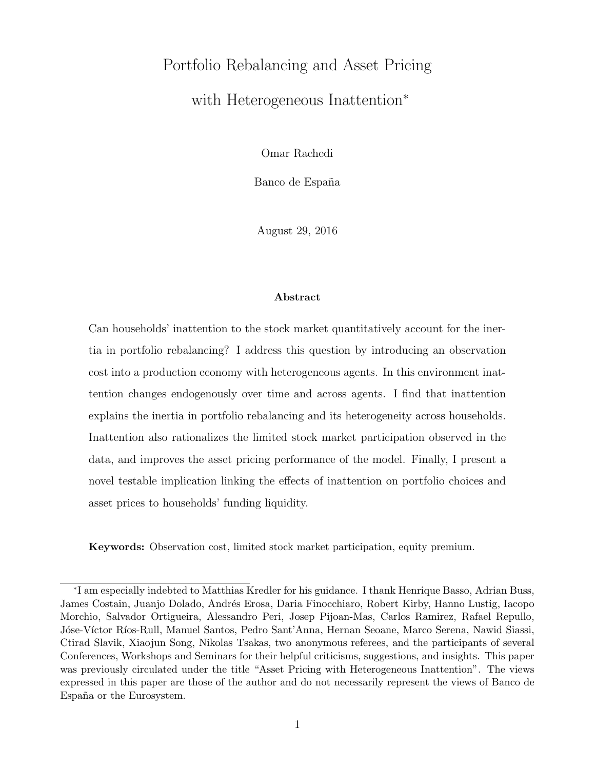# Portfolio Rebalancing and Asset Pricing with Heterogeneous Inattention<sup>∗</sup>

Omar Rachedi

Banco de España

August 29, 2016

#### Abstract

Can households' inattention to the stock market quantitatively account for the inertia in portfolio rebalancing? I address this question by introducing an observation cost into a production economy with heterogeneous agents. In this environment inattention changes endogenously over time and across agents. I find that inattention explains the inertia in portfolio rebalancing and its heterogeneity across households. Inattention also rationalizes the limited stock market participation observed in the data, and improves the asset pricing performance of the model. Finally, I present a novel testable implication linking the effects of inattention on portfolio choices and asset prices to households' funding liquidity.

Keywords: Observation cost, limited stock market participation, equity premium.

<sup>∗</sup> I am especially indebted to Matthias Kredler for his guidance. I thank Henrique Basso, Adrian Buss, James Costain, Juanjo Dolado, Andrés Erosa, Daria Finocchiaro, Robert Kirby, Hanno Lustig, Iacopo Morchio, Salvador Ortigueira, Alessandro Peri, Josep Pijoan-Mas, Carlos Ramirez, Rafael Repullo, Jóse-Víctor Ríos-Rull, Manuel Santos, Pedro Sant'Anna, Hernan Seoane, Marco Serena, Nawid Siassi, Ctirad Slavik, Xiaojun Song, Nikolas Tsakas, two anonymous referees, and the participants of several Conferences, Workshops and Seminars for their helpful criticisms, suggestions, and insights. This paper was previously circulated under the title "Asset Pricing with Heterogeneous Inattention". The views expressed in this paper are those of the author and do not necessarily represent the views of Banco de España or the Eurosystem.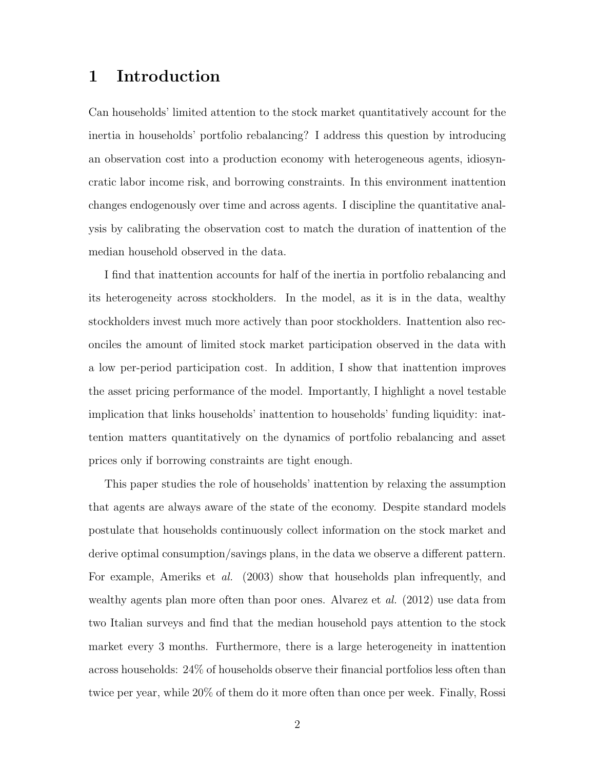# 1 Introduction

Can households' limited attention to the stock market quantitatively account for the inertia in households' portfolio rebalancing? I address this question by introducing an observation cost into a production economy with heterogeneous agents, idiosyncratic labor income risk, and borrowing constraints. In this environment inattention changes endogenously over time and across agents. I discipline the quantitative analysis by calibrating the observation cost to match the duration of inattention of the median household observed in the data.

I find that inattention accounts for half of the inertia in portfolio rebalancing and its heterogeneity across stockholders. In the model, as it is in the data, wealthy stockholders invest much more actively than poor stockholders. Inattention also reconciles the amount of limited stock market participation observed in the data with a low per-period participation cost. In addition, I show that inattention improves the asset pricing performance of the model. Importantly, I highlight a novel testable implication that links households' inattention to households' funding liquidity: inattention matters quantitatively on the dynamics of portfolio rebalancing and asset prices only if borrowing constraints are tight enough.

This paper studies the role of households' inattention by relaxing the assumption that agents are always aware of the state of the economy. Despite standard models postulate that households continuously collect information on the stock market and derive optimal consumption/savings plans, in the data we observe a different pattern. For example, Ameriks et al. (2003) show that households plan infrequently, and wealthy agents plan more often than poor ones. Alvarez et al. (2012) use data from two Italian surveys and find that the median household pays attention to the stock market every 3 months. Furthermore, there is a large heterogeneity in inattention across households: 24% of households observe their financial portfolios less often than twice per year, while 20% of them do it more often than once per week. Finally, Rossi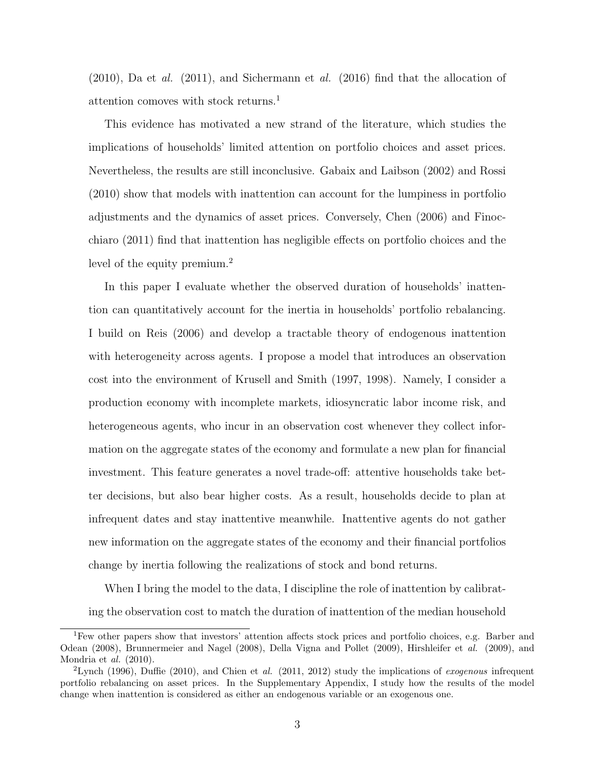$(2010)$ , Da et al.  $(2011)$ , and Sichermann et al.  $(2016)$  find that the allocation of attention comoves with stock returns.<sup>1</sup>

This evidence has motivated a new strand of the literature, which studies the implications of households' limited attention on portfolio choices and asset prices. Nevertheless, the results are still inconclusive. Gabaix and Laibson (2002) and Rossi (2010) show that models with inattention can account for the lumpiness in portfolio adjustments and the dynamics of asset prices. Conversely, Chen (2006) and Finocchiaro (2011) find that inattention has negligible effects on portfolio choices and the level of the equity premium.<sup>2</sup>

In this paper I evaluate whether the observed duration of households' inattention can quantitatively account for the inertia in households' portfolio rebalancing. I build on Reis (2006) and develop a tractable theory of endogenous inattention with heterogeneity across agents. I propose a model that introduces an observation cost into the environment of Krusell and Smith (1997, 1998). Namely, I consider a production economy with incomplete markets, idiosyncratic labor income risk, and heterogeneous agents, who incur in an observation cost whenever they collect information on the aggregate states of the economy and formulate a new plan for financial investment. This feature generates a novel trade-off: attentive households take better decisions, but also bear higher costs. As a result, households decide to plan at infrequent dates and stay inattentive meanwhile. Inattentive agents do not gather new information on the aggregate states of the economy and their financial portfolios change by inertia following the realizations of stock and bond returns.

When I bring the model to the data, I discipline the role of inattention by calibrating the observation cost to match the duration of inattention of the median household

<sup>1</sup>Few other papers show that investors' attention affects stock prices and portfolio choices, e.g. Barber and Odean (2008), Brunnermeier and Nagel (2008), Della Vigna and Pollet (2009), Hirshleifer et al. (2009), and Mondria et al. (2010).

<sup>&</sup>lt;sup>2</sup>Lynch (1996), Duffie (2010), and Chien et al. (2011, 2012) study the implications of exogenous infrequent portfolio rebalancing on asset prices. In the Supplementary Appendix, I study how the results of the model change when inattention is considered as either an endogenous variable or an exogenous one.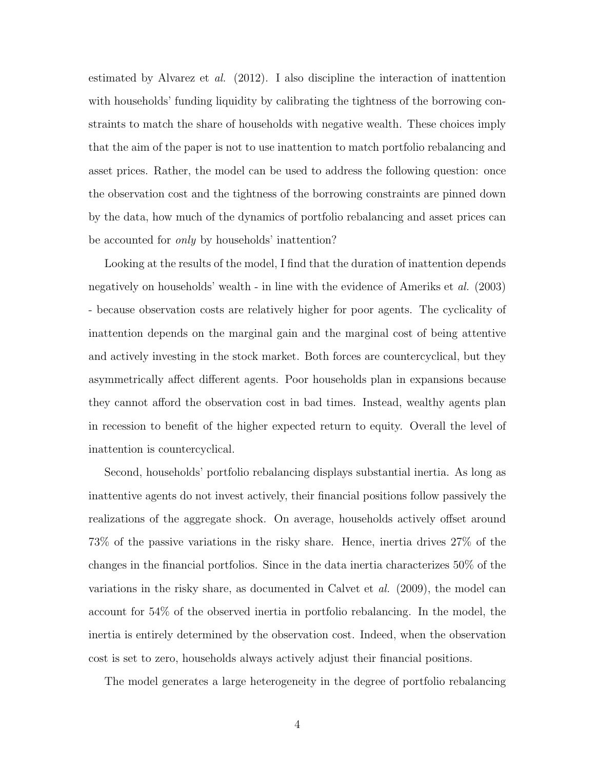estimated by Alvarez et al. (2012). I also discipline the interaction of inattention with households' funding liquidity by calibrating the tightness of the borrowing constraints to match the share of households with negative wealth. These choices imply that the aim of the paper is not to use inattention to match portfolio rebalancing and asset prices. Rather, the model can be used to address the following question: once the observation cost and the tightness of the borrowing constraints are pinned down by the data, how much of the dynamics of portfolio rebalancing and asset prices can be accounted for *only* by households' inattention?

Looking at the results of the model, I find that the duration of inattention depends negatively on households' wealth - in line with the evidence of Ameriks et al. (2003) - because observation costs are relatively higher for poor agents. The cyclicality of inattention depends on the marginal gain and the marginal cost of being attentive and actively investing in the stock market. Both forces are countercyclical, but they asymmetrically affect different agents. Poor households plan in expansions because they cannot afford the observation cost in bad times. Instead, wealthy agents plan in recession to benefit of the higher expected return to equity. Overall the level of inattention is countercyclical.

Second, households' portfolio rebalancing displays substantial inertia. As long as inattentive agents do not invest actively, their financial positions follow passively the realizations of the aggregate shock. On average, households actively offset around 73% of the passive variations in the risky share. Hence, inertia drives 27% of the changes in the financial portfolios. Since in the data inertia characterizes 50% of the variations in the risky share, as documented in Calvet et al. (2009), the model can account for 54% of the observed inertia in portfolio rebalancing. In the model, the inertia is entirely determined by the observation cost. Indeed, when the observation cost is set to zero, households always actively adjust their financial positions.

The model generates a large heterogeneity in the degree of portfolio rebalancing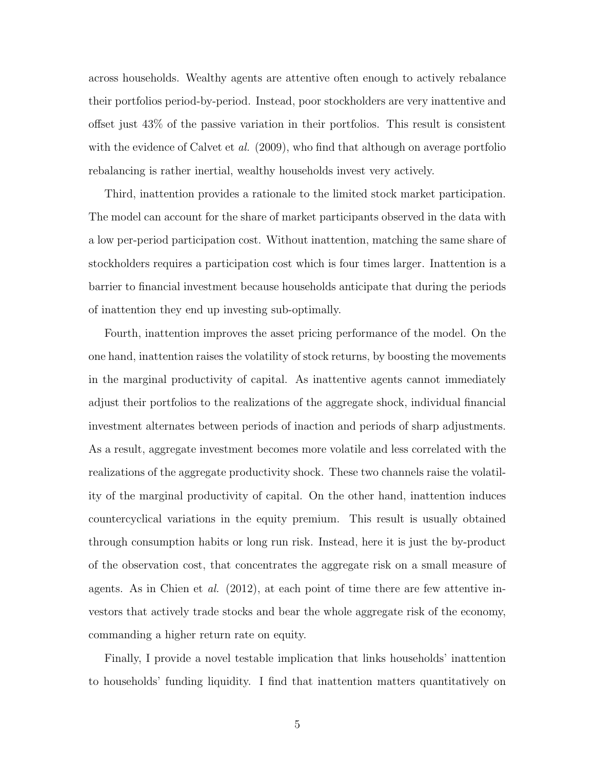across households. Wealthy agents are attentive often enough to actively rebalance their portfolios period-by-period. Instead, poor stockholders are very inattentive and offset just 43% of the passive variation in their portfolios. This result is consistent with the evidence of Calvet et al. (2009), who find that although on average portfolio rebalancing is rather inertial, wealthy households invest very actively.

Third, inattention provides a rationale to the limited stock market participation. The model can account for the share of market participants observed in the data with a low per-period participation cost. Without inattention, matching the same share of stockholders requires a participation cost which is four times larger. Inattention is a barrier to financial investment because households anticipate that during the periods of inattention they end up investing sub-optimally.

Fourth, inattention improves the asset pricing performance of the model. On the one hand, inattention raises the volatility of stock returns, by boosting the movements in the marginal productivity of capital. As inattentive agents cannot immediately adjust their portfolios to the realizations of the aggregate shock, individual financial investment alternates between periods of inaction and periods of sharp adjustments. As a result, aggregate investment becomes more volatile and less correlated with the realizations of the aggregate productivity shock. These two channels raise the volatility of the marginal productivity of capital. On the other hand, inattention induces countercyclical variations in the equity premium. This result is usually obtained through consumption habits or long run risk. Instead, here it is just the by-product of the observation cost, that concentrates the aggregate risk on a small measure of agents. As in Chien et al. (2012), at each point of time there are few attentive investors that actively trade stocks and bear the whole aggregate risk of the economy, commanding a higher return rate on equity.

Finally, I provide a novel testable implication that links households' inattention to households' funding liquidity. I find that inattention matters quantitatively on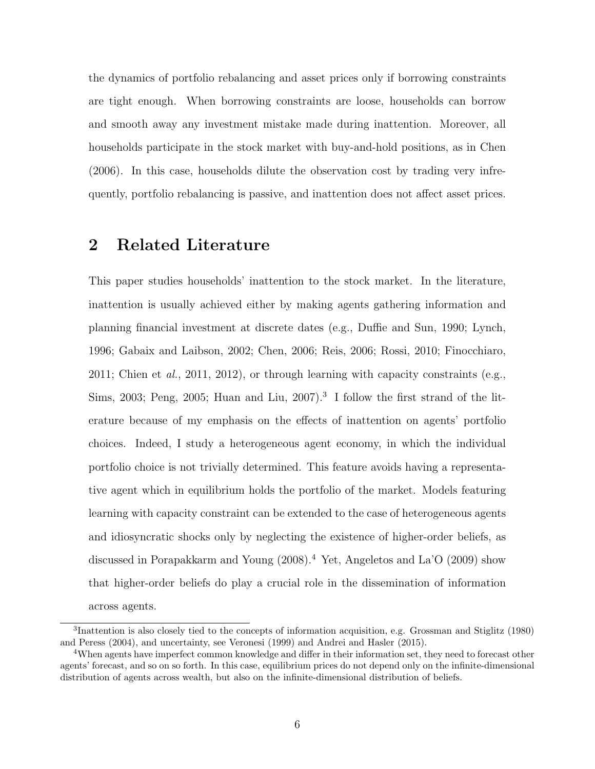the dynamics of portfolio rebalancing and asset prices only if borrowing constraints are tight enough. When borrowing constraints are loose, households can borrow and smooth away any investment mistake made during inattention. Moreover, all households participate in the stock market with buy-and-hold positions, as in Chen (2006). In this case, households dilute the observation cost by trading very infrequently, portfolio rebalancing is passive, and inattention does not affect asset prices.

# 2 Related Literature

This paper studies households' inattention to the stock market. In the literature, inattention is usually achieved either by making agents gathering information and planning financial investment at discrete dates (e.g., Duffie and Sun, 1990; Lynch, 1996; Gabaix and Laibson, 2002; Chen, 2006; Reis, 2006; Rossi, 2010; Finocchiaro, 2011; Chien et al., 2011, 2012), or through learning with capacity constraints (e.g., Sims, 2003; Peng, 2005; Huan and Liu, 2007).<sup>3</sup> I follow the first strand of the literature because of my emphasis on the effects of inattention on agents' portfolio choices. Indeed, I study a heterogeneous agent economy, in which the individual portfolio choice is not trivially determined. This feature avoids having a representative agent which in equilibrium holds the portfolio of the market. Models featuring learning with capacity constraint can be extended to the case of heterogeneous agents and idiosyncratic shocks only by neglecting the existence of higher-order beliefs, as discussed in Porapakkarm and Young (2008).<sup>4</sup> Yet, Angeletos and La'O (2009) show that higher-order beliefs do play a crucial role in the dissemination of information across agents.

<sup>&</sup>lt;sup>3</sup>Inattention is also closely tied to the concepts of information acquisition, e.g. Grossman and Stiglitz (1980) and Peress (2004), and uncertainty, see Veronesi (1999) and Andrei and Hasler (2015).

<sup>4</sup>When agents have imperfect common knowledge and differ in their information set, they need to forecast other agents' forecast, and so on so forth. In this case, equilibrium prices do not depend only on the infinite-dimensional distribution of agents across wealth, but also on the infinite-dimensional distribution of beliefs.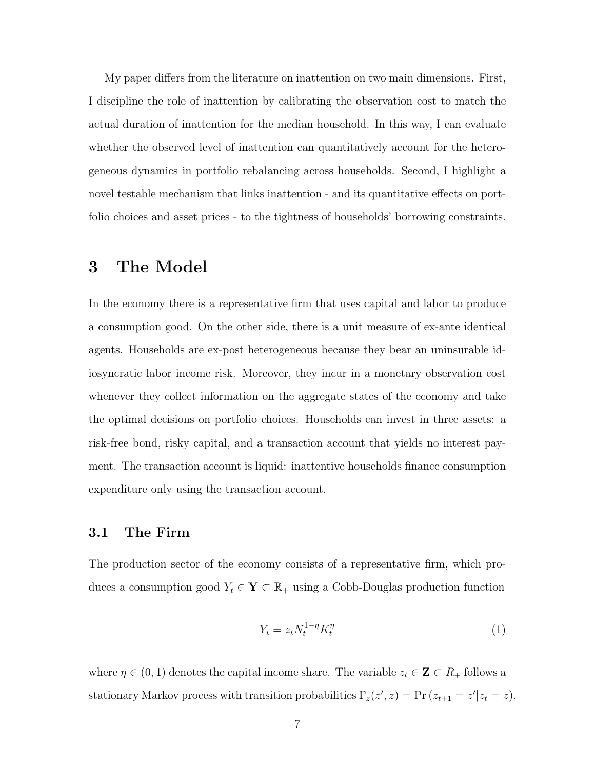My paper differs from the literature on inattention on two main dimensions. First, I discipline the role of inattention by calibrating the observation cost to match the actual duration of inattention for the median household. In this way, I can evaluate whether the observed level of inattention can quantitatively account for the heterogeneous dynamics in portfolio rebalancing across households. Second, I highlight a novel testable mechanism that links inattention - and its quantitative effects on portfolio choices and asset prices - to the tightness of households' borrowing constraints.

# 3 The Model

In the economy there is a representative firm that uses capital and labor to produce a consumption good. On the other side, there is a unit measure of ex-ante identical agents. Households are ex-post heterogeneous because they bear an uninsurable idiosyncratic labor income risk. Moreover, they incur in a monetary observation cost whenever they collect information on the aggregate states of the economy and take the optimal decisions on portfolio choices. Households can invest in three assets: a risk-free bond, risky capital, and a transaction account that yields no interest payment. The transaction account is liquid: inattentive households finance consumption expenditure only using the transaction account.

#### 3.1 The Firm

The production sector of the economy consists of a representative firm, which produces a consumption good  $Y_t \in \mathbf{Y} \subset \mathbb{R}_+$  using a Cobb-Douglas production function

$$
Y_t = z_t N_t^{1-\eta} K_t^{\eta} \tag{1}
$$

where  $\eta \in (0, 1)$  denotes the capital income share. The variable  $z_t \in \mathbf{Z} \subset R_+$  follows a stationary Markov process with transition probabilities  $\Gamma_z(z', z) = \Pr(z_{t+1} = z'|z_t = z)$ .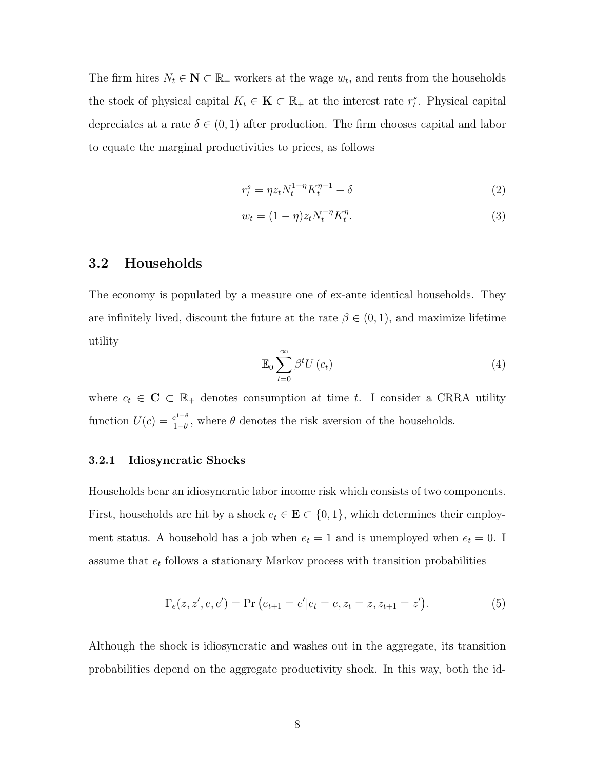The firm hires  $N_t \in \mathbb{N} \subset \mathbb{R}_+$  workers at the wage  $w_t$ , and rents from the households the stock of physical capital  $K_t \in \mathbf{K} \subset \mathbb{R}_+$  at the interest rate  $r_t^s$ . Physical capital depreciates at a rate  $\delta \in (0,1)$  after production. The firm chooses capital and labor to equate the marginal productivities to prices, as follows

$$
r_t^s = \eta z_t N_t^{1-\eta} K_t^{\eta-1} - \delta \tag{2}
$$

$$
w_t = (1 - \eta)z_t N_t^{-\eta} K_t^{\eta}.
$$
\n(3)

#### 3.2 Households

The economy is populated by a measure one of ex-ante identical households. They are infinitely lived, discount the future at the rate  $\beta \in (0,1)$ , and maximize lifetime utility

$$
\mathbb{E}_0 \sum_{t=0}^{\infty} \beta^t U(c_t) \tag{4}
$$

where  $c_t \in \mathbb{C} \subset \mathbb{R}_+$  denotes consumption at time t. I consider a CRRA utility function  $U(c) = \frac{c^{1-\theta}}{1-\theta}$  $\frac{e^{t-\theta}}{1-\theta}$ , where  $\theta$  denotes the risk aversion of the households.

#### 3.2.1 Idiosyncratic Shocks

Households bear an idiosyncratic labor income risk which consists of two components. First, households are hit by a shock  $e_t \in \mathbf{E} \subset \{0,1\}$ , which determines their employment status. A household has a job when  $e_t = 1$  and is unemployed when  $e_t = 0$ . I assume that  $e_t$  follows a stationary Markov process with transition probabilities

$$
\Gamma_e(z, z', e, e') = \Pr\left(e_{t+1} = e' | e_t = e, z_t = z, z_{t+1} = z'\right).
$$
\n(5)

Although the shock is idiosyncratic and washes out in the aggregate, its transition probabilities depend on the aggregate productivity shock. In this way, both the id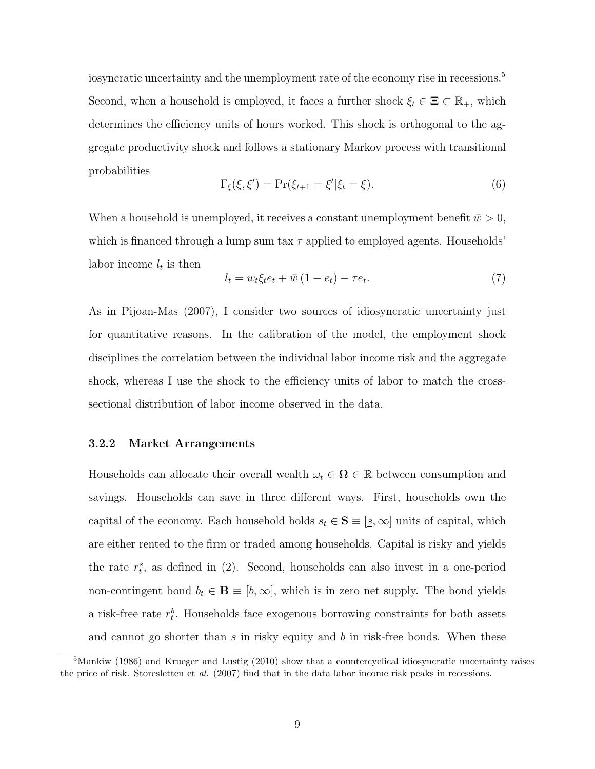iosyncratic uncertainty and the unemployment rate of the economy rise in recessions.<sup>5</sup> Second, when a household is employed, it faces a further shock  $\xi_t \in \Xi \subset \mathbb{R}_+$ , which determines the efficiency units of hours worked. This shock is orthogonal to the aggregate productivity shock and follows a stationary Markov process with transitional probabilities

$$
\Gamma_{\xi}(\xi, \xi') = \Pr(\xi_{t+1} = \xi' | \xi_t = \xi). \tag{6}
$$

When a household is unemployed, it receives a constant unemployment benefit  $\bar{w} > 0$ , which is financed through a lump sum tax  $\tau$  applied to employed agents. Households' labor income  $l_t$  is then

$$
l_t = w_t \xi_t e_t + \bar{w} \left( 1 - e_t \right) - \tau e_t. \tag{7}
$$

As in Pijoan-Mas (2007), I consider two sources of idiosyncratic uncertainty just for quantitative reasons. In the calibration of the model, the employment shock disciplines the correlation between the individual labor income risk and the aggregate shock, whereas I use the shock to the efficiency units of labor to match the crosssectional distribution of labor income observed in the data.

#### 3.2.2 Market Arrangements

Households can allocate their overall wealth  $\omega_t \in \Omega \in \mathbb{R}$  between consumption and savings. Households can save in three different ways. First, households own the capital of the economy. Each household holds  $s_t \in \mathbf{S} \equiv [\underline{s}, \infty]$  units of capital, which are either rented to the firm or traded among households. Capital is risky and yields the rate  $r_t^s$ , as defined in (2). Second, households can also invest in a one-period non-contingent bond  $b_t \in \mathbf{B} \equiv [\underline{b}, \infty]$ , which is in zero net supply. The bond yields a risk-free rate  $r_t^b$ . Households face exogenous borrowing constraints for both assets and cannot go shorter than  $\underline{s}$  in risky equity and  $\underline{b}$  in risk-free bonds. When these

 $5$ Mankiw (1986) and Krueger and Lustig (2010) show that a countercyclical idiosyncratic uncertainty raises the price of risk. Storesletten et al. (2007) find that in the data labor income risk peaks in recessions.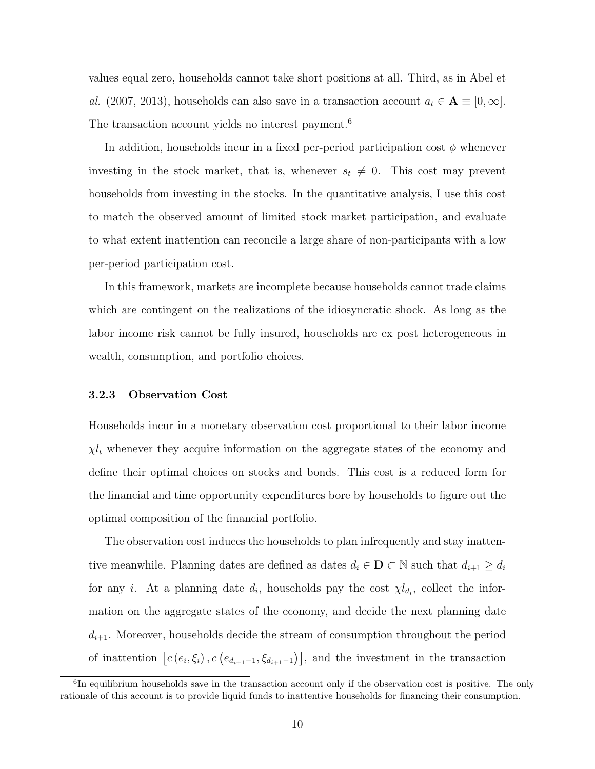values equal zero, households cannot take short positions at all. Third, as in Abel et al. (2007, 2013), households can also save in a transaction account  $a_t \in \mathbf{A} \equiv [0, \infty]$ . The transaction account yields no interest payment.<sup>6</sup>

In addition, households incur in a fixed per-period participation cost  $\phi$  whenever investing in the stock market, that is, whenever  $s_t \neq 0$ . This cost may prevent households from investing in the stocks. In the quantitative analysis, I use this cost to match the observed amount of limited stock market participation, and evaluate to what extent inattention can reconcile a large share of non-participants with a low per-period participation cost.

In this framework, markets are incomplete because households cannot trade claims which are contingent on the realizations of the idiosyncratic shock. As long as the labor income risk cannot be fully insured, households are ex post heterogeneous in wealth, consumption, and portfolio choices.

#### 3.2.3 Observation Cost

Households incur in a monetary observation cost proportional to their labor income  $\chi l_t$  whenever they acquire information on the aggregate states of the economy and define their optimal choices on stocks and bonds. This cost is a reduced form for the financial and time opportunity expenditures bore by households to figure out the optimal composition of the financial portfolio.

The observation cost induces the households to plan infrequently and stay inattentive meanwhile. Planning dates are defined as dates  $d_i \in \mathbf{D} \subset \mathbb{N}$  such that  $d_{i+1} \geq d_i$ for any *i*. At a planning date  $d_i$ , households pay the cost  $\chi l_{d_i}$ , collect the information on the aggregate states of the economy, and decide the next planning date  $d_{i+1}$ . Moreover, households decide the stream of consumption throughout the period of inattention  $[c(e_i, \xi_i), c(e_{d_{i+1}-1}, \xi_{d_{i+1}-1})]$ , and the investment in the transaction

<sup>&</sup>lt;sup>6</sup>In equilibrium households save in the transaction account only if the observation cost is positive. The only rationale of this account is to provide liquid funds to inattentive households for financing their consumption.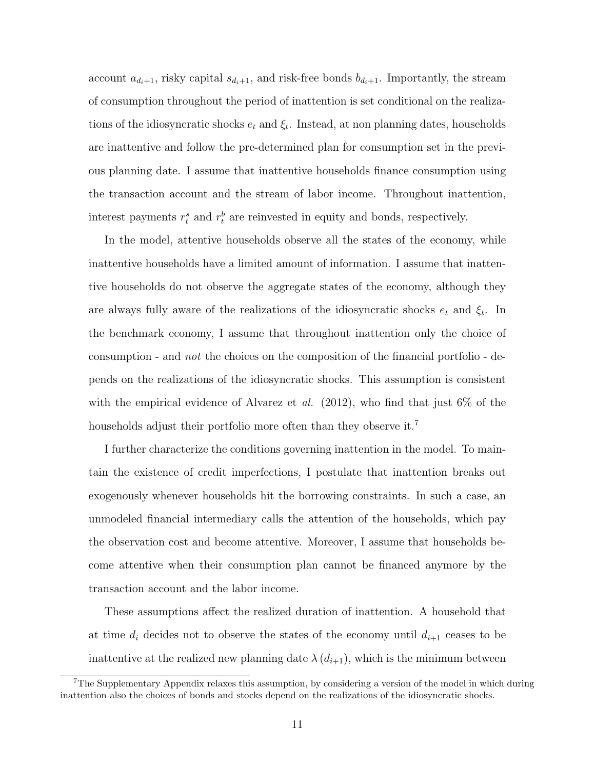account  $a_{d_i+1}$ , risky capital  $s_{d_i+1}$ , and risk-free bonds  $b_{d_i+1}$ . Importantly, the stream of consumption throughout the period of inattention is set conditional on the realizations of the idiosyncratic shocks  $e_t$  and  $\xi_t$ . Instead, at non planning dates, households are inattentive and follow the pre-determined plan for consumption set in the previous planning date. I assume that inattentive households finance consumption using the transaction account and the stream of labor income. Throughout inattention, interest payments  $r_t^s$  and  $r_t^b$  are reinvested in equity and bonds, respectively.

In the model, attentive households observe all the states of the economy, while inattentive households have a limited amount of information. I assume that inattentive households do not observe the aggregate states of the economy, although they are always fully aware of the realizations of the idiosyncratic shocks  $e_t$  and  $\xi_t$ . In the benchmark economy, I assume that throughout inattention only the choice of consumption - and not the choices on the composition of the financial portfolio - depends on the realizations of the idiosyncratic shocks. This assumption is consistent with the empirical evidence of Alvarez et al.  $(2012)$ , who find that just 6% of the households adjust their portfolio more often than they observe it.<sup>7</sup>

I further characterize the conditions governing inattention in the model. To maintain the existence of credit imperfections, I postulate that inattention breaks out exogenously whenever households hit the borrowing constraints. In such a case, an unmodeled financial intermediary calls the attention of the households, which pay the observation cost and become attentive. Moreover, I assume that households become attentive when their consumption plan cannot be financed anymore by the transaction account and the labor income.

These assumptions affect the realized duration of inattention. A household that at time  $d_i$  decides not to observe the states of the economy until  $d_{i+1}$  ceases to be inattentive at the realized new planning date  $\lambda(d_{i+1})$ , which is the minimum between

<sup>&</sup>lt;sup>7</sup>The Supplementary Appendix relaxes this assumption, by considering a version of the model in which during inattention also the choices of bonds and stocks depend on the realizations of the idiosyncratic shocks.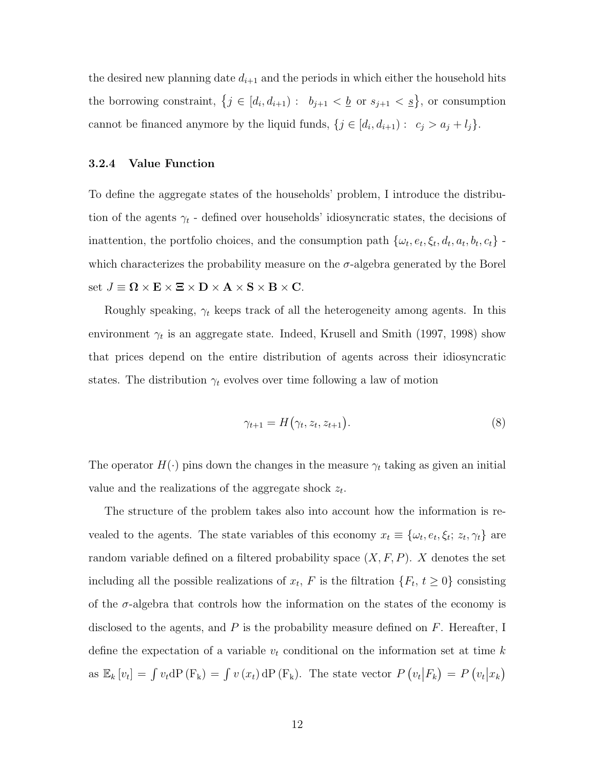the desired new planning date  $d_{i+1}$  and the periods in which either the household hits the borrowing constraint,  $\{j \in [d_i, d_{i+1}) : b_{j+1} < \underline{b} \text{ or } s_{j+1} < \underline{s}\}\)$ , or consumption cannot be financed anymore by the liquid funds,  $\{j \in [d_i, d_{i+1}) : c_j > a_j + l_j\}.$ 

#### 3.2.4 Value Function

To define the aggregate states of the households' problem, I introduce the distribution of the agents  $\gamma_t$  - defined over households' idiosyncratic states, the decisions of inattention, the portfolio choices, and the consumption path  $\{\omega_t, e_t, \xi_t, d_t, a_t, b_t, c_t\}$ . which characterizes the probability measure on the  $\sigma$ -algebra generated by the Borel set  $J \equiv \Omega \times \mathbf{E} \times \mathbf{\Xi} \times \mathbf{D} \times \mathbf{A} \times \mathbf{S} \times \mathbf{B} \times \mathbf{C}$ .

Roughly speaking,  $\gamma_t$  keeps track of all the heterogeneity among agents. In this environment  $\gamma_t$  is an aggregate state. Indeed, Krusell and Smith (1997, 1998) show that prices depend on the entire distribution of agents across their idiosyncratic states. The distribution  $\gamma_t$  evolves over time following a law of motion

$$
\gamma_{t+1} = H(\gamma_t, z_t, z_{t+1}). \tag{8}
$$

The operator  $H(\cdot)$  pins down the changes in the measure  $\gamma_t$  taking as given an initial value and the realizations of the aggregate shock  $z_t$ .

The structure of the problem takes also into account how the information is revealed to the agents. The state variables of this economy  $x_t \equiv \{\omega_t, e_t, \xi_t; z_t, \gamma_t\}$  are random variable defined on a filtered probability space  $(X, F, P)$ . X denotes the set including all the possible realizations of  $x_t$ , F is the filtration  $\{F_t, t \geq 0\}$  consisting of the  $\sigma$ -algebra that controls how the information on the states of the economy is disclosed to the agents, and  $P$  is the probability measure defined on  $F$ . Hereafter, I define the expectation of a variable  $v_t$  conditional on the information set at time k as  $\mathbb{E}_k[v_t] = \int v_t dP(F_k) = \int v(x_t) dP(F_k)$ . The state vector  $P(v_t|F_k) = P(v_t|x_k)$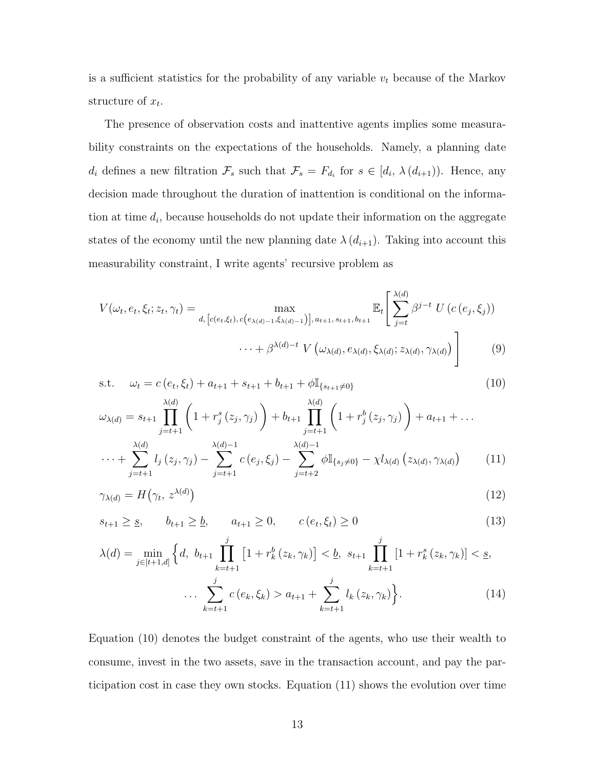is a sufficient statistics for the probability of any variable  $v_t$  because of the Markov structure of  $x_t$ .

The presence of observation costs and inattentive agents implies some measurability constraints on the expectations of the households. Namely, a planning date  $d_i$  defines a new filtration  $\mathcal{F}_s$  such that  $\mathcal{F}_s = F_{d_i}$  for  $s \in [d_i, \lambda(d_{i+1}))$ . Hence, any decision made throughout the duration of inattention is conditional on the information at time  $d_i$ , because households do not update their information on the aggregate states of the economy until the new planning date  $\lambda(d_{i+1})$ . Taking into account this measurability constraint, I write agents' recursive problem as

$$
V(\omega_t, e_t, \xi_t; z_t, \gamma_t) = \max_{d, [c(e_t, \xi_t), c(e_{\lambda(d)-1}, \xi_{\lambda(d)-1})], a_{t+1}, s_{t+1}, b_{t+1}]} \mathbb{E}_t \left[ \sum_{j=t}^{\lambda(d)} \beta^{j-t} U(c(e_j, \xi_j)) \right]
$$

$$
\cdots + \beta^{\lambda(d)-t} V(\omega_{\lambda(d)}, e_{\lambda(d)}, \xi_{\lambda(d)}; z_{\lambda(d)}, \gamma_{\lambda(d)}) \right]
$$
(9)

s.t. 
$$
\omega_t = c(e_t, \xi_t) + a_{t+1} + s_{t+1} + b_{t+1} + \phi \mathbb{I}_{\{s_{t+1} \neq 0\}} \tag{10}
$$

$$
\omega_{\lambda(d)} = s_{t+1} \prod_{j=t+1}^{\lambda(d)} \left( 1 + r_j^s(z_j, \gamma_j) \right) + b_{t+1} \prod_{j=t+1}^{\lambda(d)} \left( 1 + r_j^b(z_j, \gamma_j) \right) + a_{t+1} + \dots
$$
  

$$
\cdots + \sum_{j=t+1}^{\lambda(d)} l_j(z_j, \gamma_j) - \sum_{j=t+1}^{\lambda(d)-1} c(e_j, \xi_j) - \sum_{j=t+2}^{\lambda(d)-1} \phi \mathbb{I}_{\{s_j \neq 0\}} - \chi l_{\lambda(d)}(z_{\lambda(d)}, \gamma_{\lambda(d)}) \tag{11}
$$

$$
\gamma_{\lambda(d)} = H(\gamma_t, z^{\lambda(d)}) \tag{12}
$$

$$
s_{t+1} \geq s, \qquad b_{t+1} \geq b, \qquad a_{t+1} \geq 0, \qquad c(e_t, \xi_t) \geq 0
$$
 (13)

$$
\lambda(d) = \min_{j \in [t+1,d]} \left\{ d, \ b_{t+1} \prod_{k=t+1}^{j} \left[ 1 + r_k^b(z_k, \gamma_k) \right] < \underline{b}, \ s_{t+1} \prod_{k=t+1}^{j} \left[ 1 + r_k^s(z_k, \gamma_k) \right] < \underline{s},
$$
\n
$$
\dots \sum_{k=t+1}^{j} c(e_k, \xi_k) > a_{t+1} + \sum_{k=t+1}^{j} l_k(z_k, \gamma_k) \right\}.\tag{14}
$$

Equation (10) denotes the budget constraint of the agents, who use their wealth to consume, invest in the two assets, save in the transaction account, and pay the participation cost in case they own stocks. Equation (11) shows the evolution over time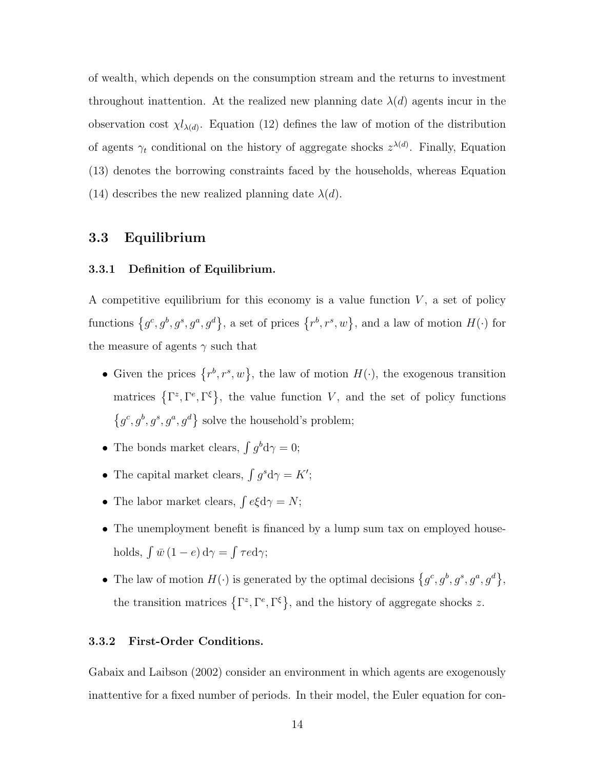of wealth, which depends on the consumption stream and the returns to investment throughout inattention. At the realized new planning date  $\lambda(d)$  agents incur in the observation cost  $\chi l_{\lambda(d)}$ . Equation (12) defines the law of motion of the distribution of agents  $\gamma_t$  conditional on the history of aggregate shocks  $z^{\lambda(d)}$ . Finally, Equation (13) denotes the borrowing constraints faced by the households, whereas Equation (14) describes the new realized planning date  $\lambda(d)$ .

# 3.3 Equilibrium

#### 3.3.1 Definition of Equilibrium.

A competitive equilibrium for this economy is a value function  $V$ , a set of policy functions  $\{g^c, g^b, g^s, g^a, g^d\}$ , a set of prices  $\{r^b, r^s, w\}$ , and a law of motion  $H(\cdot)$  for the measure of agents  $\gamma$  such that

- Given the prices  $\{r^b, r^s, w\}$ , the law of motion  $H(\cdot)$ , the exogenous transition matrices  $\{\Gamma^z,\Gamma^e,\Gamma^{\xi}\}\,$  the value function V, and the set of policy functions  $\{g^c, g^b, g^s, g^a, g^d\}$  solve the household's problem;
- The bonds market clears,  $\int g^b d\gamma = 0;$
- The capital market clears,  $\int g^s d\gamma = K'$ ;
- The labor market clears,  $\int e \xi d\gamma = N;$
- The unemployment benefit is financed by a lump sum tax on employed households,  $\int \bar{w} (1 - e) d\gamma = \int \tau e d\gamma;$
- The law of motion  $H(\cdot)$  is generated by the optimal decisions  $\{g^c, g^b, g^s, g^a, g^d\},\$ the transition matrices  $\{\Gamma^z, \Gamma^e, \Gamma^{\xi}\}\$ , and the history of aggregate shocks z.

#### 3.3.2 First-Order Conditions.

Gabaix and Laibson (2002) consider an environment in which agents are exogenously inattentive for a fixed number of periods. In their model, the Euler equation for con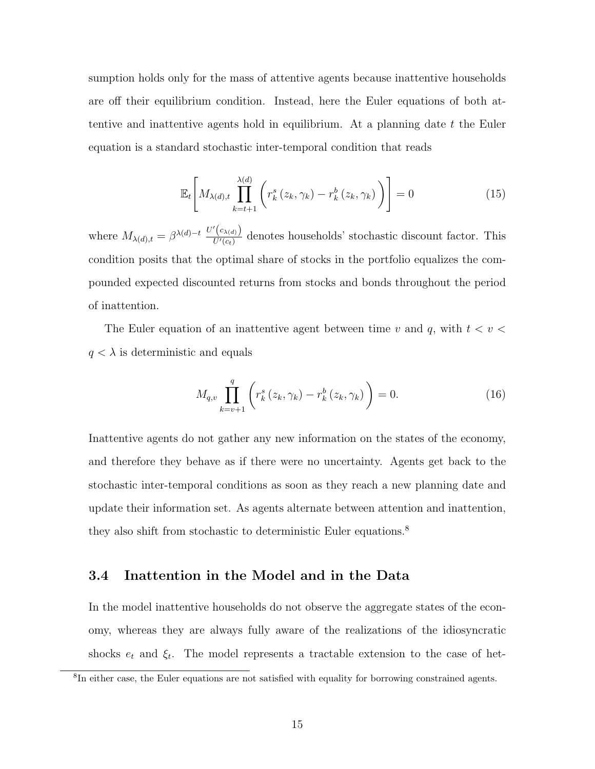sumption holds only for the mass of attentive agents because inattentive households are off their equilibrium condition. Instead, here the Euler equations of both attentive and inattentive agents hold in equilibrium. At a planning date t the Euler equation is a standard stochastic inter-temporal condition that reads

$$
\mathbb{E}_{t}\left[M_{\lambda(d),t}\prod_{k=t+1}^{\lambda(d)}\left(r_{k}^{s}\left(z_{k},\gamma_{k}\right)-r_{k}^{b}\left(z_{k},\gamma_{k}\right)\right)\right]=0\tag{15}
$$

where  $M_{\lambda(d),t} = \beta^{\lambda(d)-t} \frac{U'(c_{\lambda(d)})}{U'(c_t)}$  $\frac{U(x(d))}{U'(c_t)}$  denotes households' stochastic discount factor. This condition posits that the optimal share of stocks in the portfolio equalizes the compounded expected discounted returns from stocks and bonds throughout the period of inattention.

The Euler equation of an inattentive agent between time v and q, with  $t < v <$  $q < \lambda$  is deterministic and equals

$$
M_{q,v} \prod_{k=v+1}^{q} \left( r_k^s \left( z_k, \gamma_k \right) - r_k^b \left( z_k, \gamma_k \right) \right) = 0.
$$
 (16)

Inattentive agents do not gather any new information on the states of the economy, and therefore they behave as if there were no uncertainty. Agents get back to the stochastic inter-temporal conditions as soon as they reach a new planning date and update their information set. As agents alternate between attention and inattention, they also shift from stochastic to deterministic Euler equations.<sup>8</sup>

### 3.4 Inattention in the Model and in the Data

In the model inattentive households do not observe the aggregate states of the economy, whereas they are always fully aware of the realizations of the idiosyncratic shocks  $e_t$  and  $\xi_t$ . The model represents a tractable extension to the case of het-

<sup>8</sup> In either case, the Euler equations are not satisfied with equality for borrowing constrained agents.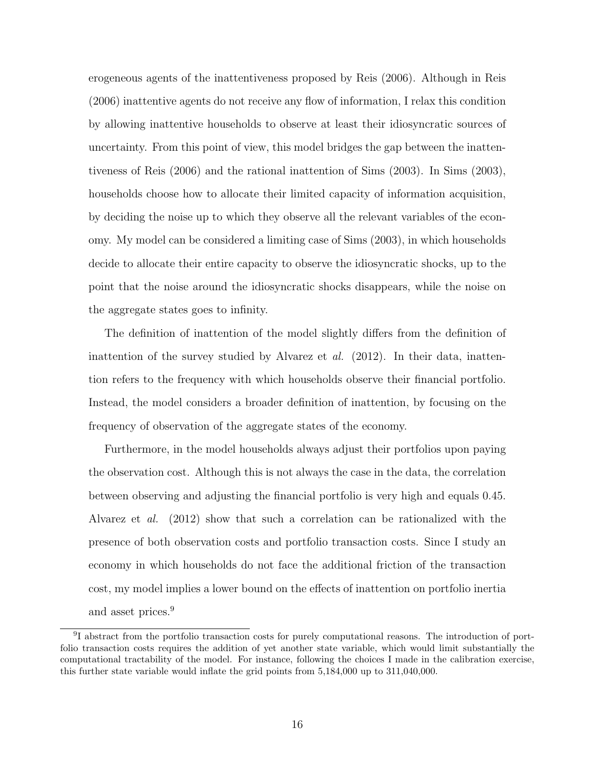erogeneous agents of the inattentiveness proposed by Reis (2006). Although in Reis (2006) inattentive agents do not receive any flow of information, I relax this condition by allowing inattentive households to observe at least their idiosyncratic sources of uncertainty. From this point of view, this model bridges the gap between the inattentiveness of Reis (2006) and the rational inattention of Sims (2003). In Sims (2003), households choose how to allocate their limited capacity of information acquisition, by deciding the noise up to which they observe all the relevant variables of the economy. My model can be considered a limiting case of Sims (2003), in which households decide to allocate their entire capacity to observe the idiosyncratic shocks, up to the point that the noise around the idiosyncratic shocks disappears, while the noise on the aggregate states goes to infinity.

The definition of inattention of the model slightly differs from the definition of inattention of the survey studied by Alvarez et  $al.$  (2012). In their data, inattention refers to the frequency with which households observe their financial portfolio. Instead, the model considers a broader definition of inattention, by focusing on the frequency of observation of the aggregate states of the economy.

Furthermore, in the model households always adjust their portfolios upon paying the observation cost. Although this is not always the case in the data, the correlation between observing and adjusting the financial portfolio is very high and equals 0.45. Alvarez et al. (2012) show that such a correlation can be rationalized with the presence of both observation costs and portfolio transaction costs. Since I study an economy in which households do not face the additional friction of the transaction cost, my model implies a lower bound on the effects of inattention on portfolio inertia and asset prices.<sup>9</sup>

<sup>&</sup>lt;sup>9</sup>I abstract from the portfolio transaction costs for purely computational reasons. The introduction of portfolio transaction costs requires the addition of yet another state variable, which would limit substantially the computational tractability of the model. For instance, following the choices I made in the calibration exercise, this further state variable would inflate the grid points from 5,184,000 up to 311,040,000.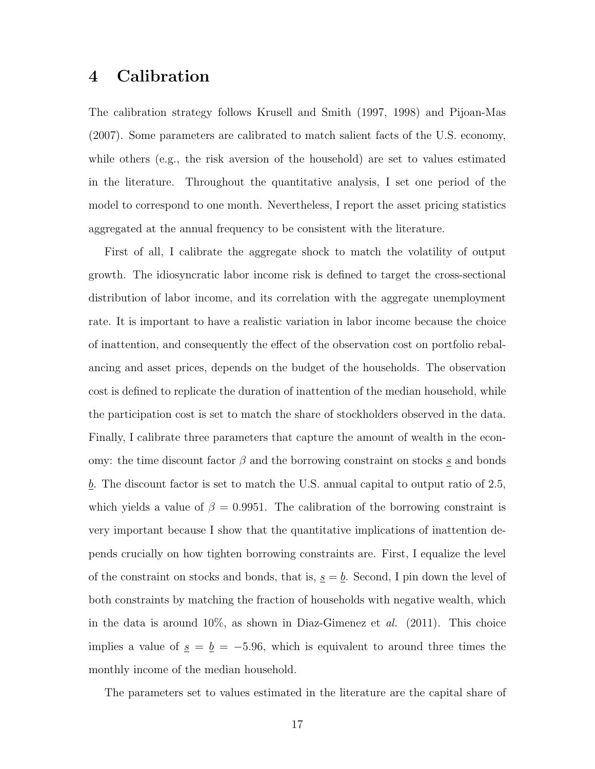# 4 Calibration

The calibration strategy follows Krusell and Smith (1997, 1998) and Pijoan-Mas (2007). Some parameters are calibrated to match salient facts of the U.S. economy, while others (e.g., the risk aversion of the household) are set to values estimated in the literature. Throughout the quantitative analysis, I set one period of the model to correspond to one month. Nevertheless, I report the asset pricing statistics aggregated at the annual frequency to be consistent with the literature.

First of all, I calibrate the aggregate shock to match the volatility of output growth. The idiosyncratic labor income risk is defined to target the cross-sectional distribution of labor income, and its correlation with the aggregate unemployment rate. It is important to have a realistic variation in labor income because the choice of inattention, and consequently the effect of the observation cost on portfolio rebalancing and asset prices, depends on the budget of the households. The observation cost is defined to replicate the duration of inattention of the median household, while the participation cost is set to match the share of stockholders observed in the data. Finally, I calibrate three parameters that capture the amount of wealth in the economy: the time discount factor  $\beta$  and the borrowing constraint on stocks s and bonds  $\underline{b}$ . The discount factor is set to match the U.S. annual capital to output ratio of 2.5, which yields a value of  $\beta = 0.9951$ . The calibration of the borrowing constraint is very important because I show that the quantitative implications of inattention depends crucially on how tighten borrowing constraints are. First, I equalize the level of the constraint on stocks and bonds, that is,  $\underline{s} = \underline{b}$ . Second, I pin down the level of both constraints by matching the fraction of households with negative wealth, which in the data is around  $10\%$ , as shown in Diaz-Gimenez et al. (2011). This choice implies a value of  $\underline{s} = \underline{b} = -5.96$ , which is equivalent to around three times the monthly income of the median household.

The parameters set to values estimated in the literature are the capital share of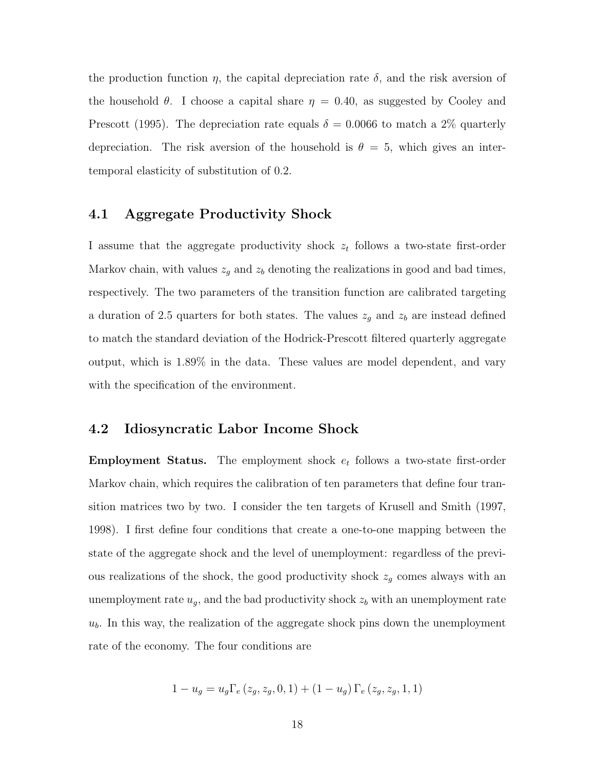the production function  $\eta$ , the capital depreciation rate  $\delta$ , and the risk aversion of the household  $\theta$ . I choose a capital share  $\eta = 0.40$ , as suggested by Cooley and Prescott (1995). The depreciation rate equals  $\delta = 0.0066$  to match a 2\% quarterly depreciation. The risk aversion of the household is  $\theta = 5$ , which gives an intertemporal elasticity of substitution of 0.2.

# 4.1 Aggregate Productivity Shock

I assume that the aggregate productivity shock  $z_t$  follows a two-state first-order Markov chain, with values  $z_g$  and  $z_b$  denoting the realizations in good and bad times, respectively. The two parameters of the transition function are calibrated targeting a duration of 2.5 quarters for both states. The values  $z_g$  and  $z_b$  are instead defined to match the standard deviation of the Hodrick-Prescott filtered quarterly aggregate output, which is 1.89% in the data. These values are model dependent, and vary with the specification of the environment.

# 4.2 Idiosyncratic Labor Income Shock

**Employment Status.** The employment shock  $e_t$  follows a two-state first-order Markov chain, which requires the calibration of ten parameters that define four transition matrices two by two. I consider the ten targets of Krusell and Smith (1997, 1998). I first define four conditions that create a one-to-one mapping between the state of the aggregate shock and the level of unemployment: regardless of the previous realizations of the shock, the good productivity shock  $z_g$  comes always with an unemployment rate  $u_g$ , and the bad productivity shock  $z_b$  with an unemployment rate  $u<sub>b</sub>$ . In this way, the realization of the aggregate shock pins down the unemployment rate of the economy. The four conditions are

$$
1 - u_g = u_g \Gamma_e (z_g, z_g, 0, 1) + (1 - u_g) \Gamma_e (z_g, z_g, 1, 1)
$$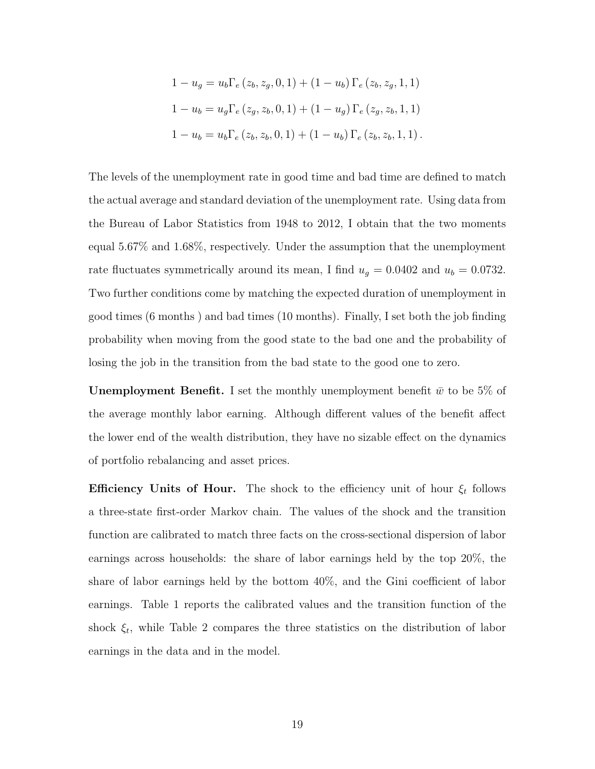$$
1 - u_g = u_b \Gamma_e (z_b, z_g, 0, 1) + (1 - u_b) \Gamma_e (z_b, z_g, 1, 1)
$$
  
\n
$$
1 - u_b = u_g \Gamma_e (z_g, z_b, 0, 1) + (1 - u_g) \Gamma_e (z_g, z_b, 1, 1)
$$
  
\n
$$
1 - u_b = u_b \Gamma_e (z_b, z_b, 0, 1) + (1 - u_b) \Gamma_e (z_b, z_b, 1, 1).
$$

The levels of the unemployment rate in good time and bad time are defined to match the actual average and standard deviation of the unemployment rate. Using data from the Bureau of Labor Statistics from 1948 to 2012, I obtain that the two moments equal 5.67% and 1.68%, respectively. Under the assumption that the unemployment rate fluctuates symmetrically around its mean, I find  $u_g = 0.0402$  and  $u_b = 0.0732$ . Two further conditions come by matching the expected duration of unemployment in good times (6 months ) and bad times (10 months). Finally, I set both the job finding probability when moving from the good state to the bad one and the probability of losing the job in the transition from the bad state to the good one to zero.

**Unemployment Benefit.** I set the monthly unemployment benefit  $\bar{w}$  to be 5% of the average monthly labor earning. Although different values of the benefit affect the lower end of the wealth distribution, they have no sizable effect on the dynamics of portfolio rebalancing and asset prices.

**Efficiency Units of Hour.** The shock to the efficiency unit of hour  $\xi_t$  follows a three-state first-order Markov chain. The values of the shock and the transition function are calibrated to match three facts on the cross-sectional dispersion of labor earnings across households: the share of labor earnings held by the top 20%, the share of labor earnings held by the bottom 40%, and the Gini coefficient of labor earnings. Table 1 reports the calibrated values and the transition function of the shock  $\xi_t$ , while Table 2 compares the three statistics on the distribution of labor earnings in the data and in the model.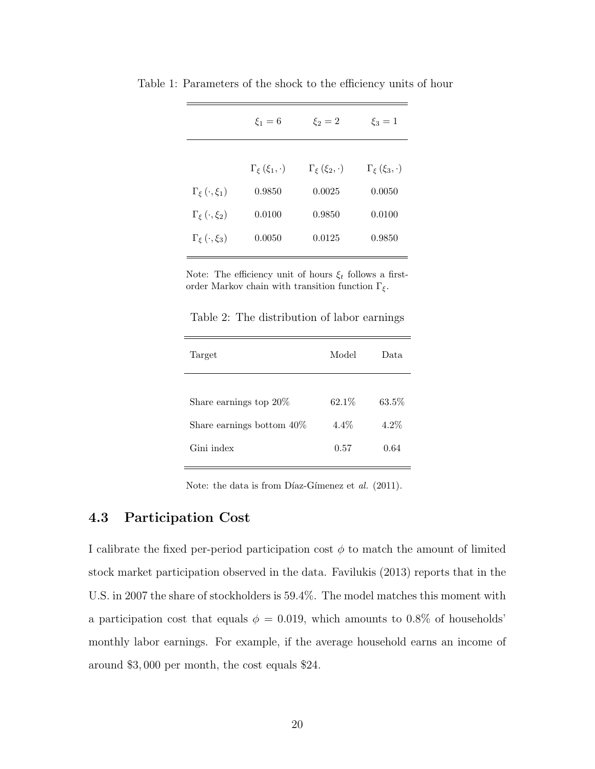|                             | $\xi_1=6$                   | $\xi_2=2$                   | $\xi_3 = 1$                 |
|-----------------------------|-----------------------------|-----------------------------|-----------------------------|
|                             | $\Gamma_{\xi}(\xi_1,\cdot)$ | $\Gamma_{\xi}(\xi_2,\cdot)$ | $\Gamma_{\xi}(\xi_3,\cdot)$ |
| $\Gamma_{\xi}(\cdot,\xi_1)$ | 0.9850                      | 0.0025                      | 0.0050                      |
| $\Gamma_{\xi}(\cdot,\xi_2)$ | 0.0100                      | 0.9850                      | 0.0100                      |
| $\Gamma_{\xi}(\cdot,\xi_3)$ | 0.0050                      | 0.0125                      | 0.9850                      |

Table 1: Parameters of the shock to the efficiency units of hour

Note: The efficiency unit of hours  $\xi_t$  follows a firstorder Markov chain with transition function  $\Gamma_\xi.$ 

Table 2: The distribution of labor earnings

| Target                                                    | Model             | Data    |
|-----------------------------------------------------------|-------------------|---------|
|                                                           |                   | 63.5%   |
| Share earnings top $20\%$<br>Share earnings bottom $40\%$ | 62.1\%<br>$4.4\%$ | $4.2\%$ |
| Gini index                                                | 0.57              | 0.64    |
|                                                           |                   |         |

Note: the data is from Díaz-Gímenez et  $al.$  (2011).

### 4.3 Participation Cost

I calibrate the fixed per-period participation cost  $\phi$  to match the amount of limited stock market participation observed in the data. Favilukis (2013) reports that in the U.S. in 2007 the share of stockholders is 59.4%. The model matches this moment with a participation cost that equals  $\phi = 0.019$ , which amounts to 0.8% of households' monthly labor earnings. For example, if the average household earns an income of around \$3, 000 per month, the cost equals \$24.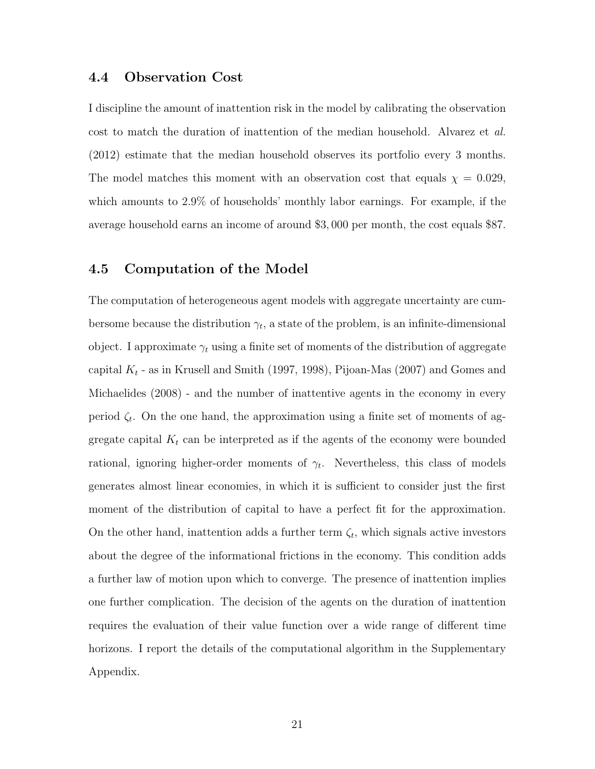### 4.4 Observation Cost

I discipline the amount of inattention risk in the model by calibrating the observation cost to match the duration of inattention of the median household. Alvarez et al. (2012) estimate that the median household observes its portfolio every 3 months. The model matches this moment with an observation cost that equals  $\chi = 0.029$ , which amounts to 2.9% of households' monthly labor earnings. For example, if the average household earns an income of around \$3, 000 per month, the cost equals \$87.

### 4.5 Computation of the Model

The computation of heterogeneous agent models with aggregate uncertainty are cumbersome because the distribution  $\gamma_t$ , a state of the problem, is an infinite-dimensional object. I approximate  $\gamma_t$  using a finite set of moments of the distribution of aggregate capital  $K_t$  - as in Krusell and Smith (1997, 1998), Pijoan-Mas (2007) and Gomes and Michaelides (2008) - and the number of inattentive agents in the economy in every period  $\zeta_t$ . On the one hand, the approximation using a finite set of moments of aggregate capital  $K_t$  can be interpreted as if the agents of the economy were bounded rational, ignoring higher-order moments of  $\gamma_t$ . Nevertheless, this class of models generates almost linear economies, in which it is sufficient to consider just the first moment of the distribution of capital to have a perfect fit for the approximation. On the other hand, inattention adds a further term  $\zeta_t$ , which signals active investors about the degree of the informational frictions in the economy. This condition adds a further law of motion upon which to converge. The presence of inattention implies one further complication. The decision of the agents on the duration of inattention requires the evaluation of their value function over a wide range of different time horizons. I report the details of the computational algorithm in the Supplementary Appendix.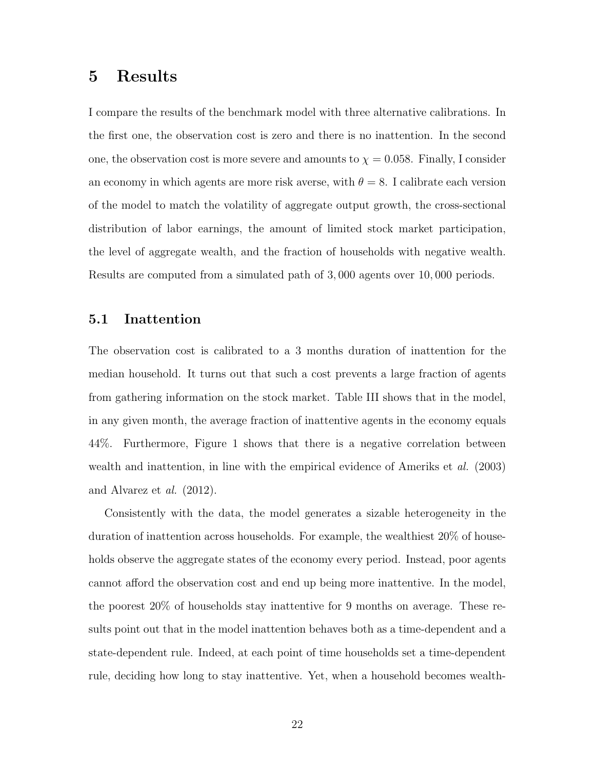# 5 Results

I compare the results of the benchmark model with three alternative calibrations. In the first one, the observation cost is zero and there is no inattention. In the second one, the observation cost is more severe and amounts to  $\chi = 0.058$ . Finally, I consider an economy in which agents are more risk averse, with  $\theta = 8$ . I calibrate each version of the model to match the volatility of aggregate output growth, the cross-sectional distribution of labor earnings, the amount of limited stock market participation, the level of aggregate wealth, and the fraction of households with negative wealth. Results are computed from a simulated path of 3, 000 agents over 10, 000 periods.

# 5.1 Inattention

The observation cost is calibrated to a 3 months duration of inattention for the median household. It turns out that such a cost prevents a large fraction of agents from gathering information on the stock market. Table III shows that in the model, in any given month, the average fraction of inattentive agents in the economy equals 44%. Furthermore, Figure 1 shows that there is a negative correlation between wealth and inattention, in line with the empirical evidence of Ameriks et al. (2003) and Alvarez et al. (2012).

Consistently with the data, the model generates a sizable heterogeneity in the duration of inattention across households. For example, the wealthiest 20% of households observe the aggregate states of the economy every period. Instead, poor agents cannot afford the observation cost and end up being more inattentive. In the model, the poorest 20% of households stay inattentive for 9 months on average. These results point out that in the model inattention behaves both as a time-dependent and a state-dependent rule. Indeed, at each point of time households set a time-dependent rule, deciding how long to stay inattentive. Yet, when a household becomes wealth-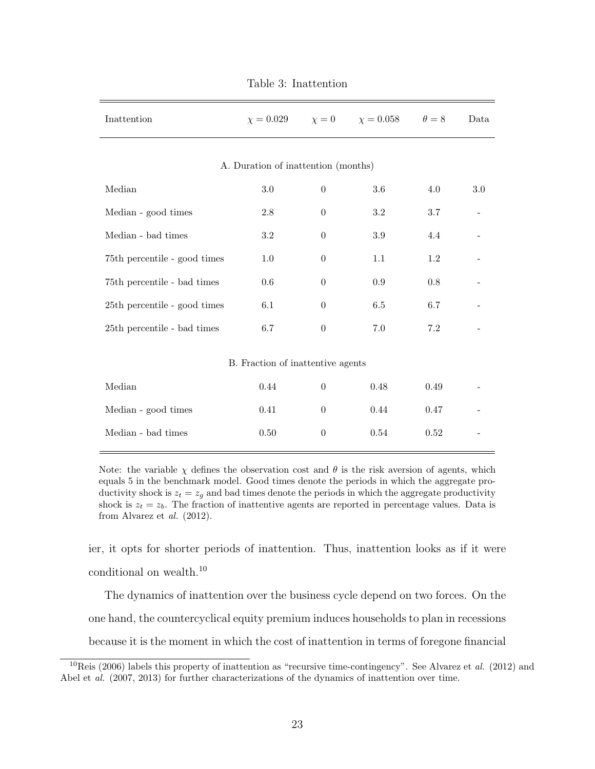| Inattention                         | $\chi = 0.029$                      | $\chi=0$         | $\chi = 0.058$ | $\theta = 8$ | Data |  |  |
|-------------------------------------|-------------------------------------|------------------|----------------|--------------|------|--|--|
|                                     | A. Duration of inattention (months) |                  |                |              |      |  |  |
| Median                              | $3.0\,$                             | $\boldsymbol{0}$ | 3.6            | 4.0          | 3.0  |  |  |
| Median - good times                 | 2.8                                 | $\theta$         | $3.2\,$        | 3.7          |      |  |  |
| Median - bad times                  | $3.2\,$                             | $\theta$         | 3.9            | 4.4          |      |  |  |
| 75th percentile - good times        | 1.0                                 | $\theta$         | 1.1            | 1.2          |      |  |  |
| 75th percentile - bad times         | 0.6                                 | $\theta$         | 0.9            | 0.8          |      |  |  |
| 25th percentile - good times        | 6.1                                 | $\theta$         | 6.5            | 6.7          |      |  |  |
| $25{\rm th}$ percentile - bad times | 6.7                                 | $\theta$         | $7.0\,$        | $7.2\,$      |      |  |  |
| B. Fraction of inattentive agents   |                                     |                  |                |              |      |  |  |
| Median                              | $0.44\,$                            | $\boldsymbol{0}$ | 0.48           | 0.49         |      |  |  |
| Median - good times                 | 0.41                                | $\theta$         | 0.44           | 0.47         |      |  |  |
| Median - bad times                  | 0.50                                | $\boldsymbol{0}$ | $0.54\,$       | 0.52         |      |  |  |

Table 3: Inattention

Note: the variable  $\chi$  defines the observation cost and  $\theta$  is the risk aversion of agents, which equals 5 in the benchmark model. Good times denote the periods in which the aggregate productivity shock is  $z_t = z_q$  and bad times denote the periods in which the aggregate productivity shock is  $z_t = z_b$ . The fraction of inattentive agents are reported in percentage values. Data is from Alvarez et al. (2012).

ier, it opts for shorter periods of inattention. Thus, inattention looks as if it were conditional on wealth.<sup>10</sup>

The dynamics of inattention over the business cycle depend on two forces. On the one hand, the countercyclical equity premium induces households to plan in recessions because it is the moment in which the cost of inattention in terms of foregone financial

<sup>&</sup>lt;sup>10</sup>Reis (2006) labels this property of inattention as "recursive time-contingency". See Alvarez et al. (2012) and Abel et al. (2007, 2013) for further characterizations of the dynamics of inattention over time.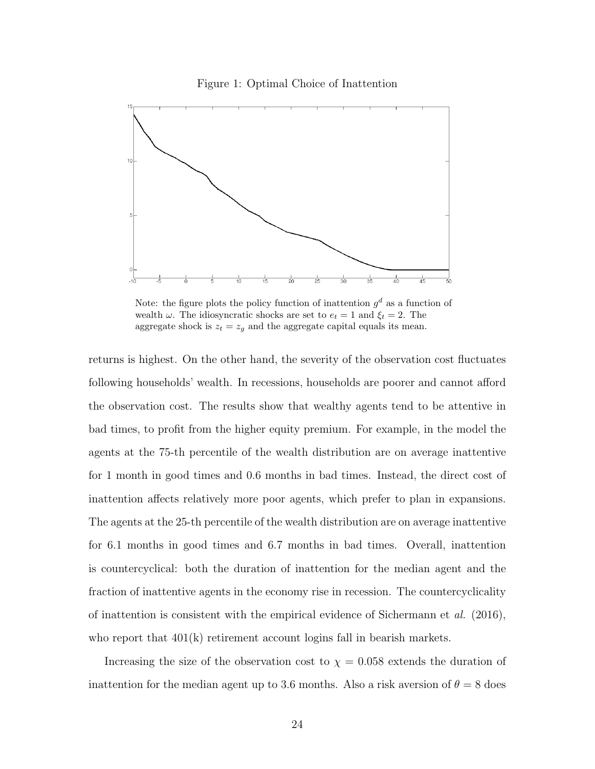



Note: the figure plots the policy function of inattention  $g^d$  as a function of wealth  $\omega$ . The idiosyncratic shocks are set to  $e_t = 1$  and  $\xi_t = 2$ . The aggregate shock is  $z_t = z_g$  and the aggregate capital equals its mean.

returns is highest. On the other hand, the severity of the observation cost fluctuates following households' wealth. In recessions, households are poorer and cannot afford the observation cost. The results show that wealthy agents tend to be attentive in bad times, to profit from the higher equity premium. For example, in the model the agents at the 75-th percentile of the wealth distribution are on average inattentive for 1 month in good times and 0.6 months in bad times. Instead, the direct cost of inattention affects relatively more poor agents, which prefer to plan in expansions. The agents at the 25-th percentile of the wealth distribution are on average inattentive for 6.1 months in good times and 6.7 months in bad times. Overall, inattention is countercyclical: both the duration of inattention for the median agent and the fraction of inattentive agents in the economy rise in recession. The countercyclicality of inattention is consistent with the empirical evidence of Sichermann et  $al.$  (2016), who report that  $401(k)$  retirement account logins fall in bearish markets.

Increasing the size of the observation cost to  $\chi = 0.058$  extends the duration of inattention for the median agent up to 3.6 months. Also a risk aversion of  $\theta = 8$  does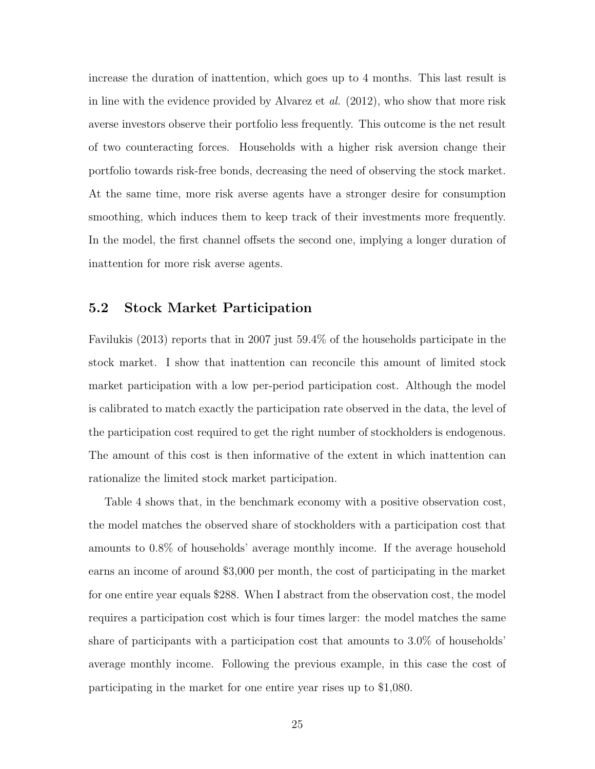increase the duration of inattention, which goes up to 4 months. This last result is in line with the evidence provided by Alvarez et al. (2012), who show that more risk averse investors observe their portfolio less frequently. This outcome is the net result of two counteracting forces. Households with a higher risk aversion change their portfolio towards risk-free bonds, decreasing the need of observing the stock market. At the same time, more risk averse agents have a stronger desire for consumption smoothing, which induces them to keep track of their investments more frequently. In the model, the first channel offsets the second one, implying a longer duration of inattention for more risk averse agents.

### 5.2 Stock Market Participation

Favilukis (2013) reports that in 2007 just 59.4% of the households participate in the stock market. I show that inattention can reconcile this amount of limited stock market participation with a low per-period participation cost. Although the model is calibrated to match exactly the participation rate observed in the data, the level of the participation cost required to get the right number of stockholders is endogenous. The amount of this cost is then informative of the extent in which inattention can rationalize the limited stock market participation.

Table 4 shows that, in the benchmark economy with a positive observation cost, the model matches the observed share of stockholders with a participation cost that amounts to 0.8% of households' average monthly income. If the average household earns an income of around \$3,000 per month, the cost of participating in the market for one entire year equals \$288. When I abstract from the observation cost, the model requires a participation cost which is four times larger: the model matches the same share of participants with a participation cost that amounts to 3.0% of households' average monthly income. Following the previous example, in this case the cost of participating in the market for one entire year rises up to \$1,080.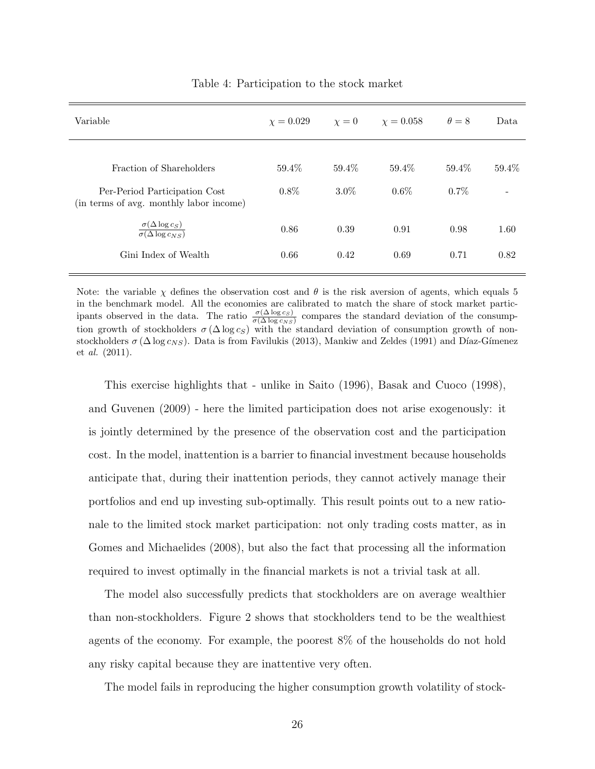| Variable                                                                                                | $\chi = 0.029$ $\chi = 0$ |                     | $\chi = 0.058$   | $\theta = 8$     | Data  |
|---------------------------------------------------------------------------------------------------------|---------------------------|---------------------|------------------|------------------|-------|
| Fraction of Shareholders<br>Per-Period Participation Cost                                               | 59.4%<br>$0.8\%$          | $59.4\%$<br>$3.0\%$ | 59.4%<br>$0.6\%$ | 59.4%<br>$0.7\%$ | 59.4% |
| (in terms of avg. monthly labor income)<br>$\frac{\sigma(\Delta \log c_S)}{\sigma(\Delta \log c_{NS})}$ | 0.86                      | 0.39                | 0.91             | 0.98             | 1.60  |
| Gini Index of Wealth                                                                                    | 0.66                      | 0.42                | 0.69             | 0.71             | 0.82  |

#### Table 4: Participation to the stock market

Note: the variable  $\chi$  defines the observation cost and  $\theta$  is the risk aversion of agents, which equals 5 in the benchmark model. All the economies are calibrated to match the share of stock market participants observed in the data. The ratio  $\frac{\sigma(\Delta \log c_S)}{\sigma(\Delta \log c_{NS})}$  compares the standard deviation of the consumption growth of stockholders  $\sigma(\Delta \log c_S)$  with the standard deviation of consumption growth of nonstockholders  $\sigma (\Delta \log c_{NS})$ . Data is from Favilukis (2013), Mankiw and Zeldes (1991) and Díaz-Gímenez et al. (2011).

This exercise highlights that - unlike in Saito (1996), Basak and Cuoco (1998), and Guvenen (2009) - here the limited participation does not arise exogenously: it is jointly determined by the presence of the observation cost and the participation cost. In the model, inattention is a barrier to financial investment because households anticipate that, during their inattention periods, they cannot actively manage their portfolios and end up investing sub-optimally. This result points out to a new rationale to the limited stock market participation: not only trading costs matter, as in Gomes and Michaelides (2008), but also the fact that processing all the information required to invest optimally in the financial markets is not a trivial task at all.

The model also successfully predicts that stockholders are on average wealthier than non-stockholders. Figure 2 shows that stockholders tend to be the wealthiest agents of the economy. For example, the poorest 8% of the households do not hold any risky capital because they are inattentive very often.

The model fails in reproducing the higher consumption growth volatility of stock-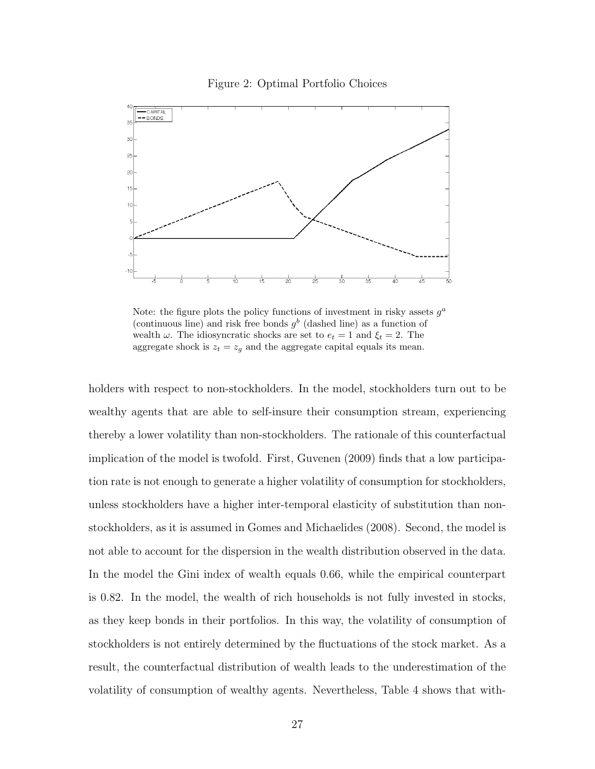

Figure 2: Optimal Portfolio Choices

Note: the figure plots the policy functions of investment in risky assets  $g^a$ (continuous line) and risk free bonds  $g^b$  (dashed line) as a function of wealth  $\omega$ . The idiosyncratic shocks are set to  $e_t = 1$  and  $\xi_t = 2$ . The aggregate shock is  $z_t = z_g$  and the aggregate capital equals its mean.

holders with respect to non-stockholders. In the model, stockholders turn out to be wealthy agents that are able to self-insure their consumption stream, experiencing thereby a lower volatility than non-stockholders. The rationale of this counterfactual implication of the model is twofold. First, Guvenen (2009) finds that a low participation rate is not enough to generate a higher volatility of consumption for stockholders, unless stockholders have a higher inter-temporal elasticity of substitution than nonstockholders, as it is assumed in Gomes and Michaelides (2008). Second, the model is not able to account for the dispersion in the wealth distribution observed in the data. In the model the Gini index of wealth equals 0.66, while the empirical counterpart is 0.82. In the model, the wealth of rich households is not fully invested in stocks, as they keep bonds in their portfolios. In this way, the volatility of consumption of stockholders is not entirely determined by the fluctuations of the stock market. As a result, the counterfactual distribution of wealth leads to the underestimation of the volatility of consumption of wealthy agents. Nevertheless, Table 4 shows that with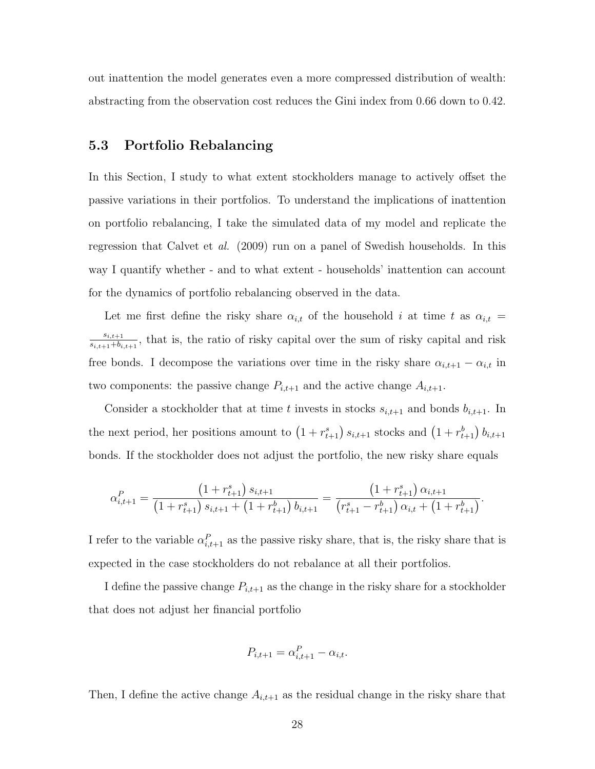out inattention the model generates even a more compressed distribution of wealth: abstracting from the observation cost reduces the Gini index from 0.66 down to 0.42.

# 5.3 Portfolio Rebalancing

In this Section, I study to what extent stockholders manage to actively offset the passive variations in their portfolios. To understand the implications of inattention on portfolio rebalancing, I take the simulated data of my model and replicate the regression that Calvet et al. (2009) run on a panel of Swedish households. In this way I quantify whether - and to what extent - households' inattention can account for the dynamics of portfolio rebalancing observed in the data.

Let me first define the risky share  $\alpha_{i,t}$  of the household i at time t as  $\alpha_{i,t}$  =  $s_{i,t+1}$  $\frac{s_{i,t+1}}{s_{i,t+1}+b_{i,t+1}}$ , that is, the ratio of risky capital over the sum of risky capital and risk free bonds. I decompose the variations over time in the risky share  $\alpha_{i,t+1} - \alpha_{i,t}$  in two components: the passive change  $P_{i,t+1}$  and the active change  $A_{i,t+1}$ .

Consider a stockholder that at time t invests in stocks  $s_{i,t+1}$  and bonds  $b_{i,t+1}$ . In the next period, her positions amount to  $(1 + r_{t+1}^s) s_{i,t+1}$  stocks and  $(1 + r_{t+1}^b) b_{i,t+1}$ bonds. If the stockholder does not adjust the portfolio, the new risky share equals

$$
\alpha_{i,t+1}^P = \frac{\left(1 + r_{t+1}^s\right) s_{i,t+1}}{\left(1 + r_{t+1}^s\right) s_{i,t+1} + \left(1 + r_{t+1}^b\right) b_{i,t+1}} = \frac{\left(1 + r_{t+1}^s\right) \alpha_{i,t+1}}{\left(r_{t+1}^s - r_{t+1}^b\right) \alpha_{i,t} + \left(1 + r_{t+1}^b\right)}.
$$

I refer to the variable  $\alpha_{i,t+1}^P$  as the passive risky share, that is, the risky share that is expected in the case stockholders do not rebalance at all their portfolios.

I define the passive change  $P_{i,t+1}$  as the change in the risky share for a stockholder that does not adjust her financial portfolio

$$
P_{i,t+1} = \alpha_{i,t+1}^P - \alpha_{i,t}.
$$

Then, I define the active change  $A_{i,t+1}$  as the residual change in the risky share that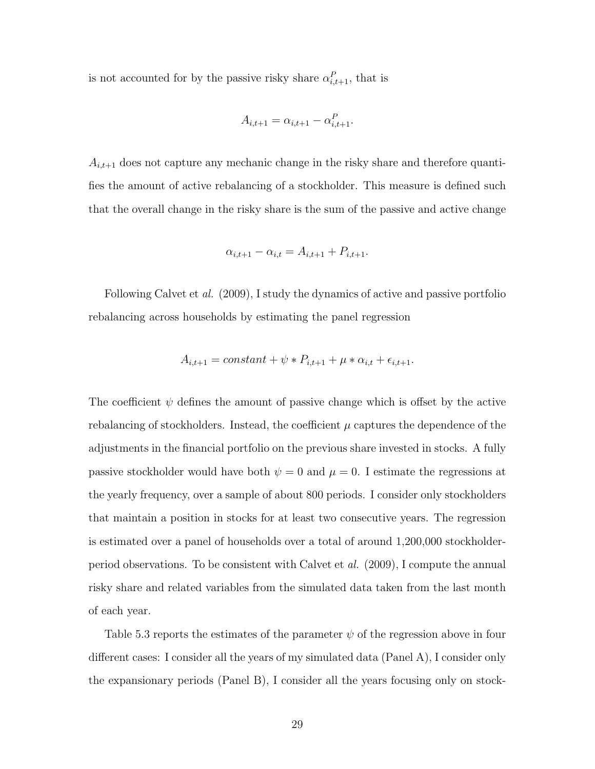is not accounted for by the passive risky share  $\alpha_{i,t+1}^P$ , that is

$$
A_{i,t+1} = \alpha_{i,t+1} - \alpha_{i,t+1}^P.
$$

 $A_{i,t+1}$  does not capture any mechanic change in the risky share and therefore quantifies the amount of active rebalancing of a stockholder. This measure is defined such that the overall change in the risky share is the sum of the passive and active change

$$
\alpha_{i,t+1} - \alpha_{i,t} = A_{i,t+1} + P_{i,t+1}.
$$

Following Calvet et al. (2009), I study the dynamics of active and passive portfolio rebalancing across households by estimating the panel regression

$$
A_{i,t+1} = constant + \psi * P_{i,t+1} + \mu * \alpha_{i,t} + \epsilon_{i,t+1}.
$$

The coefficient  $\psi$  defines the amount of passive change which is offset by the active rebalancing of stockholders. Instead, the coefficient  $\mu$  captures the dependence of the adjustments in the financial portfolio on the previous share invested in stocks. A fully passive stockholder would have both  $\psi = 0$  and  $\mu = 0$ . I estimate the regressions at the yearly frequency, over a sample of about 800 periods. I consider only stockholders that maintain a position in stocks for at least two consecutive years. The regression is estimated over a panel of households over a total of around 1,200,000 stockholderperiod observations. To be consistent with Calvet et al. (2009), I compute the annual risky share and related variables from the simulated data taken from the last month of each year.

Table 5.3 reports the estimates of the parameter  $\psi$  of the regression above in four different cases: I consider all the years of my simulated data (Panel A), I consider only the expansionary periods (Panel B), I consider all the years focusing only on stock-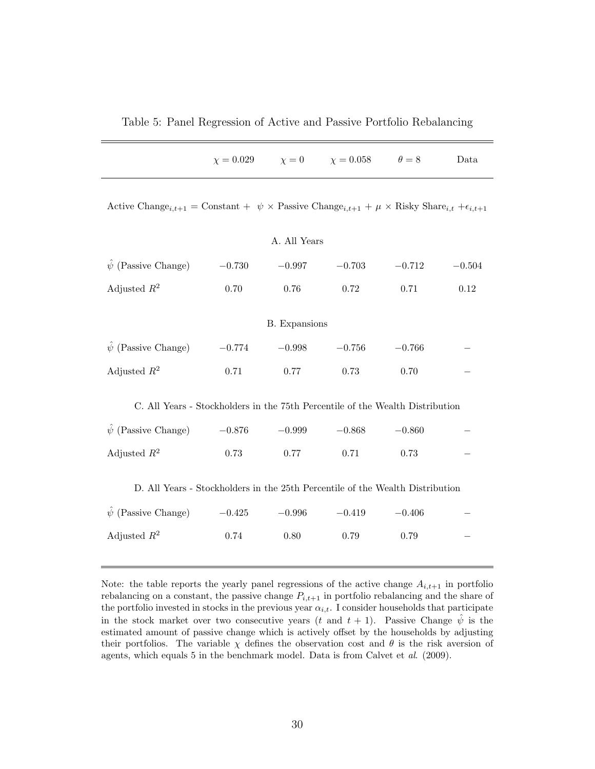Table 5: Panel Regression of Active and Passive Portfolio Rebalancing

|                                                                                                                                                          |          |                      | $\chi = 0.029$ $\chi = 0$ $\chi = 0.058$ $\theta = 8$ |          | Data     |
|----------------------------------------------------------------------------------------------------------------------------------------------------------|----------|----------------------|-------------------------------------------------------|----------|----------|
| Active Change <sub>i,t+1</sub> = Constant + $\psi \times$ Passive Change <sub>i,t+1</sub> + $\mu \times$ Risky Share <sub>i,t</sub> + $\epsilon_{i,t+1}$ |          |                      |                                                       |          |          |
|                                                                                                                                                          |          | A. All Years         |                                                       |          |          |
| $\hat{\psi}$ (Passive Change) $-0.730$                                                                                                                   |          | $-0.997$             | $-0.703$                                              | $-0.712$ | $-0.504$ |
| Adjusted $R^2$                                                                                                                                           | 0.70     | 0.76                 | 0.72                                                  | 0.71     | 0.12     |
|                                                                                                                                                          |          | <b>B.</b> Expansions |                                                       |          |          |
| $\hat{\psi}$ (Passive Change)                                                                                                                            | $-0.774$ | $-0.998$             | $-0.756$                                              | $-0.766$ |          |
| Adjusted $R^2$                                                                                                                                           | 0.71     | 0.77                 | 0.73                                                  | 0.70     |          |
| C. All Years - Stockholders in the 75th Percentile of the Wealth Distribution                                                                            |          |                      |                                                       |          |          |
| $\hat{\psi}$ (Passive Change) $-0.876$                                                                                                                   |          | $-0.999$             | $-0.868$                                              | $-0.860$ |          |
| Adjusted $R^2$                                                                                                                                           | 0.73     | 0.77                 | 0.71                                                  | 0.73     |          |
| D. All Years - Stockholders in the 25th Percentile of the Wealth Distribution                                                                            |          |                      |                                                       |          |          |
| $(Passive Change)$ $-0.425$<br>$\psi$                                                                                                                    |          | $-0.996$             | $-0.419$                                              | $-0.406$ |          |
| Adjusted $R^2$                                                                                                                                           | 0.74     | 0.80                 | 0.79                                                  | 0.79     |          |

Note: the table reports the yearly panel regressions of the active change  $A_{i,t+1}$  in portfolio rebalancing on a constant, the passive change  $P_{i,t+1}$  in portfolio rebalancing and the share of the portfolio invested in stocks in the previous year  $\alpha_{i,t}$ . I consider households that participate in the stock market over two consecutive years (t and  $t + 1$ ). Passive Change  $\hat{\psi}$  is the estimated amount of passive change which is actively offset by the households by adjusting their portfolios. The variable  $\chi$  defines the observation cost and  $\theta$  is the risk aversion of agents, which equals 5 in the benchmark model. Data is from Calvet et al. (2009).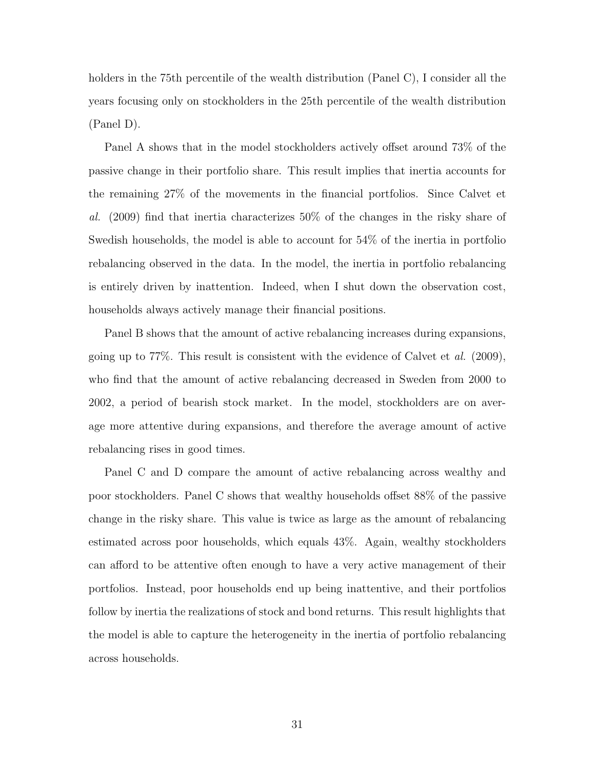holders in the 75th percentile of the wealth distribution (Panel C), I consider all the years focusing only on stockholders in the 25th percentile of the wealth distribution (Panel D).

Panel A shows that in the model stockholders actively offset around 73% of the passive change in their portfolio share. This result implies that inertia accounts for the remaining 27% of the movements in the financial portfolios. Since Calvet et al.  $(2009)$  find that inertia characterizes 50% of the changes in the risky share of Swedish households, the model is able to account for 54% of the inertia in portfolio rebalancing observed in the data. In the model, the inertia in portfolio rebalancing is entirely driven by inattention. Indeed, when I shut down the observation cost, households always actively manage their financial positions.

Panel B shows that the amount of active rebalancing increases during expansions, going up to  $77\%$ . This result is consistent with the evidence of Calvet et al.  $(2009)$ , who find that the amount of active rebalancing decreased in Sweden from 2000 to 2002, a period of bearish stock market. In the model, stockholders are on average more attentive during expansions, and therefore the average amount of active rebalancing rises in good times.

Panel C and D compare the amount of active rebalancing across wealthy and poor stockholders. Panel C shows that wealthy households offset 88% of the passive change in the risky share. This value is twice as large as the amount of rebalancing estimated across poor households, which equals 43%. Again, wealthy stockholders can afford to be attentive often enough to have a very active management of their portfolios. Instead, poor households end up being inattentive, and their portfolios follow by inertia the realizations of stock and bond returns. This result highlights that the model is able to capture the heterogeneity in the inertia of portfolio rebalancing across households.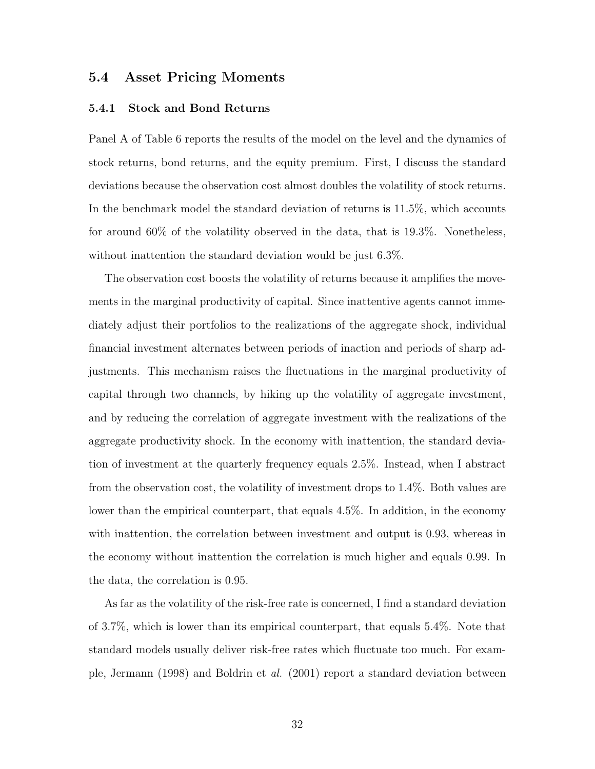### 5.4 Asset Pricing Moments

#### 5.4.1 Stock and Bond Returns

Panel A of Table 6 reports the results of the model on the level and the dynamics of stock returns, bond returns, and the equity premium. First, I discuss the standard deviations because the observation cost almost doubles the volatility of stock returns. In the benchmark model the standard deviation of returns is 11.5%, which accounts for around 60% of the volatility observed in the data, that is 19.3%. Nonetheless, without inattention the standard deviation would be just 6.3%.

The observation cost boosts the volatility of returns because it amplifies the movements in the marginal productivity of capital. Since inattentive agents cannot immediately adjust their portfolios to the realizations of the aggregate shock, individual financial investment alternates between periods of inaction and periods of sharp adjustments. This mechanism raises the fluctuations in the marginal productivity of capital through two channels, by hiking up the volatility of aggregate investment, and by reducing the correlation of aggregate investment with the realizations of the aggregate productivity shock. In the economy with inattention, the standard deviation of investment at the quarterly frequency equals 2.5%. Instead, when I abstract from the observation cost, the volatility of investment drops to 1.4%. Both values are lower than the empirical counterpart, that equals 4.5%. In addition, in the economy with inattention, the correlation between investment and output is 0.93, whereas in the economy without inattention the correlation is much higher and equals 0.99. In the data, the correlation is 0.95.

As far as the volatility of the risk-free rate is concerned, I find a standard deviation of 3.7%, which is lower than its empirical counterpart, that equals 5.4%. Note that standard models usually deliver risk-free rates which fluctuate too much. For example, Jermann (1998) and Boldrin et al. (2001) report a standard deviation between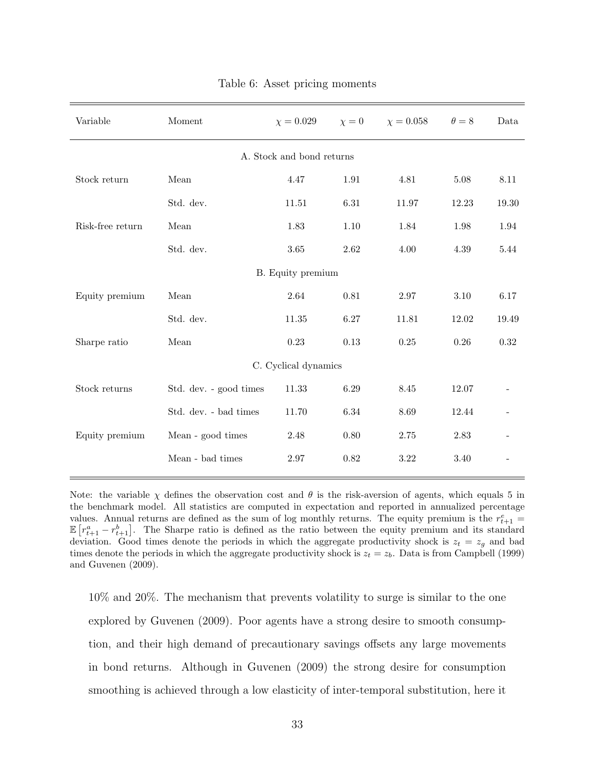| Variable             | Moment                 | $\chi = 0.029$            | $\chi=0$ | $\chi = 0.058$ | $\theta=8$ | Data  |
|----------------------|------------------------|---------------------------|----------|----------------|------------|-------|
|                      |                        | A. Stock and bond returns |          |                |            |       |
| Stock return         | Mean                   | 4.47                      | 1.91     | 4.81           | 5.08       | 8.11  |
|                      | Std. dev.              | 11.51                     | 6.31     | 11.97          | 12.23      | 19.30 |
| Risk-free return     | Mean                   | 1.83                      | 1.10     | 1.84           | 1.98       | 1.94  |
|                      | Std. dev.              | 3.65                      | 2.62     | 4.00           | 4.39       | 5.44  |
| B. Equity premium    |                        |                           |          |                |            |       |
| Equity premium       | Mean                   | 2.64                      | 0.81     | $2.97\,$       | $3.10\,$   | 6.17  |
|                      | Std. dev.              | 11.35                     | 6.27     | 11.81          | 12.02      | 19.49 |
| Sharpe ratio         | Mean                   | 0.23                      | 0.13     | $0.25\,$       | $0.26\,$   | 0.32  |
| C. Cyclical dynamics |                        |                           |          |                |            |       |
| Stock returns        | Std. dev. - good times | 11.33                     | 6.29     | 8.45           | 12.07      |       |
|                      | Std. dev. - bad times  | 11.70                     | $6.34\,$ | 8.69           | 12.44      |       |
| Equity premium       | Mean - good times      | $2.48\,$                  | 0.80     | $2.75\,$       | 2.83       |       |
|                      | Mean - bad times       | $2.97\,$                  | 0.82     | $3.22\,$       | 3.40       |       |

Table 6: Asset pricing moments

Note: the variable  $\chi$  defines the observation cost and  $\theta$  is the risk-aversion of agents, which equals 5 in the benchmark model. All statistics are computed in expectation and reported in annualized percentage values. Annual returns are defined as the sum of log monthly returns. The equity premium is the  $r_{t+1}^e$  =  $\mathbb{E}\left[r_{t+1}^a - r_{t+1}^b\right]$ . The Sharpe ratio is defined as the ratio between the equity premium and its standard deviation. Good times denote the periods in which the aggregate productivity shock is  $z_t = z_g$  and bad times denote the periods in which the aggregate productivity shock is  $z_t = z_b$ . Data is from Campbell (1999) and Guvenen (2009).

10% and 20%. The mechanism that prevents volatility to surge is similar to the one explored by Guvenen (2009). Poor agents have a strong desire to smooth consumption, and their high demand of precautionary savings offsets any large movements in bond returns. Although in Guvenen (2009) the strong desire for consumption smoothing is achieved through a low elasticity of inter-temporal substitution, here it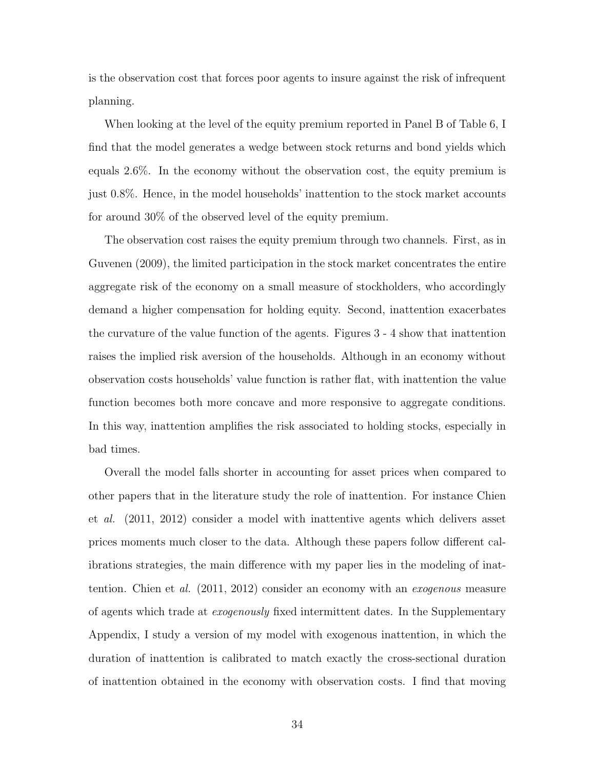is the observation cost that forces poor agents to insure against the risk of infrequent planning.

When looking at the level of the equity premium reported in Panel B of Table 6, I find that the model generates a wedge between stock returns and bond yields which equals 2.6%. In the economy without the observation cost, the equity premium is just 0.8%. Hence, in the model households' inattention to the stock market accounts for around 30% of the observed level of the equity premium.

The observation cost raises the equity premium through two channels. First, as in Guvenen (2009), the limited participation in the stock market concentrates the entire aggregate risk of the economy on a small measure of stockholders, who accordingly demand a higher compensation for holding equity. Second, inattention exacerbates the curvature of the value function of the agents. Figures 3 - 4 show that inattention raises the implied risk aversion of the households. Although in an economy without observation costs households' value function is rather flat, with inattention the value function becomes both more concave and more responsive to aggregate conditions. In this way, inattention amplifies the risk associated to holding stocks, especially in bad times.

Overall the model falls shorter in accounting for asset prices when compared to other papers that in the literature study the role of inattention. For instance Chien et al. (2011, 2012) consider a model with inattentive agents which delivers asset prices moments much closer to the data. Although these papers follow different calibrations strategies, the main difference with my paper lies in the modeling of inattention. Chien et al. (2011, 2012) consider an economy with an exogenous measure of agents which trade at exogenously fixed intermittent dates. In the Supplementary Appendix, I study a version of my model with exogenous inattention, in which the duration of inattention is calibrated to match exactly the cross-sectional duration of inattention obtained in the economy with observation costs. I find that moving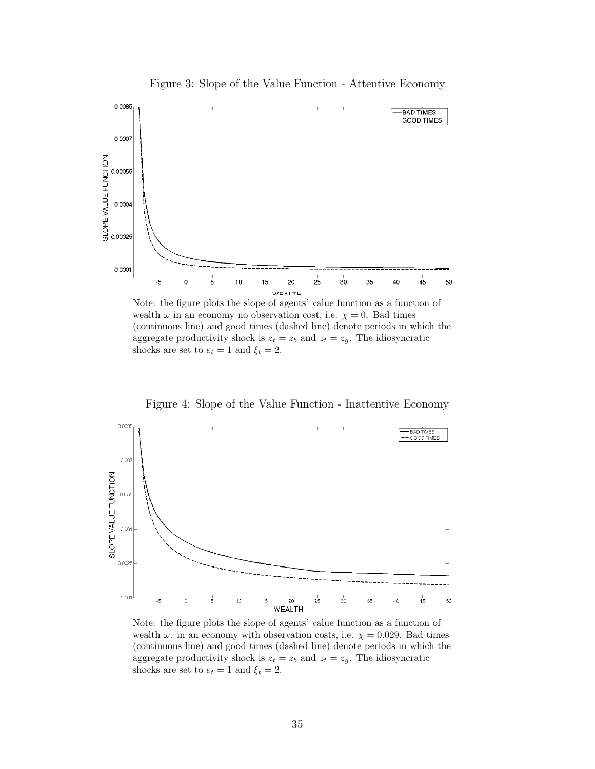

Figure 3: Slope of the Value Function - Attentive Economy

Note: the figure plots the slope of agents' value function as a function of wealth  $\omega$  in an economy no observation cost, i.e.  $\chi = 0$ . Bad times (continuous line) and good times (dashed line) denote periods in which the aggregate productivity shock is  $z_t = z_b$  and  $z_t = z_g$ . The idiosyncratic shocks are set to  $e_t = 1$  and  $\xi_t = 2$ .

Figure 4: Slope of the Value Function - Inattentive Economy



Note: the figure plots the slope of agents' value function as a function of wealth  $\omega$ . in an economy with observation costs, i.e.  $\chi = 0.029$ . Bad times (continuous line) and good times (dashed line) denote periods in which the aggregate productivity shock is  $z_t = z_b$  and  $z_t = z_g$ . The idiosyncratic shocks are set to  $e_t = 1$  and  $\xi_t = 2$ .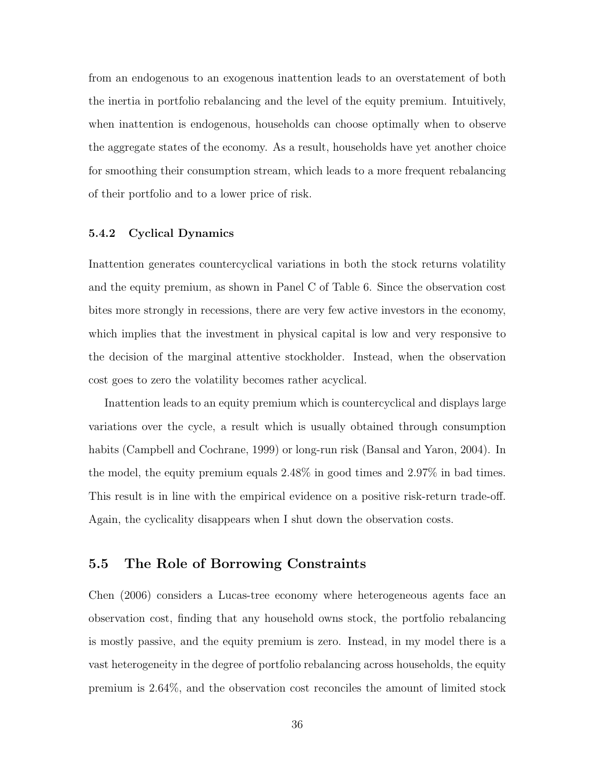from an endogenous to an exogenous inattention leads to an overstatement of both the inertia in portfolio rebalancing and the level of the equity premium. Intuitively, when inattention is endogenous, households can choose optimally when to observe the aggregate states of the economy. As a result, households have yet another choice for smoothing their consumption stream, which leads to a more frequent rebalancing of their portfolio and to a lower price of risk.

#### 5.4.2 Cyclical Dynamics

Inattention generates countercyclical variations in both the stock returns volatility and the equity premium, as shown in Panel C of Table 6. Since the observation cost bites more strongly in recessions, there are very few active investors in the economy, which implies that the investment in physical capital is low and very responsive to the decision of the marginal attentive stockholder. Instead, when the observation cost goes to zero the volatility becomes rather acyclical.

Inattention leads to an equity premium which is countercyclical and displays large variations over the cycle, a result which is usually obtained through consumption habits (Campbell and Cochrane, 1999) or long-run risk (Bansal and Yaron, 2004). In the model, the equity premium equals 2.48% in good times and 2.97% in bad times. This result is in line with the empirical evidence on a positive risk-return trade-off. Again, the cyclicality disappears when I shut down the observation costs.

### 5.5 The Role of Borrowing Constraints

Chen (2006) considers a Lucas-tree economy where heterogeneous agents face an observation cost, finding that any household owns stock, the portfolio rebalancing is mostly passive, and the equity premium is zero. Instead, in my model there is a vast heterogeneity in the degree of portfolio rebalancing across households, the equity premium is 2.64%, and the observation cost reconciles the amount of limited stock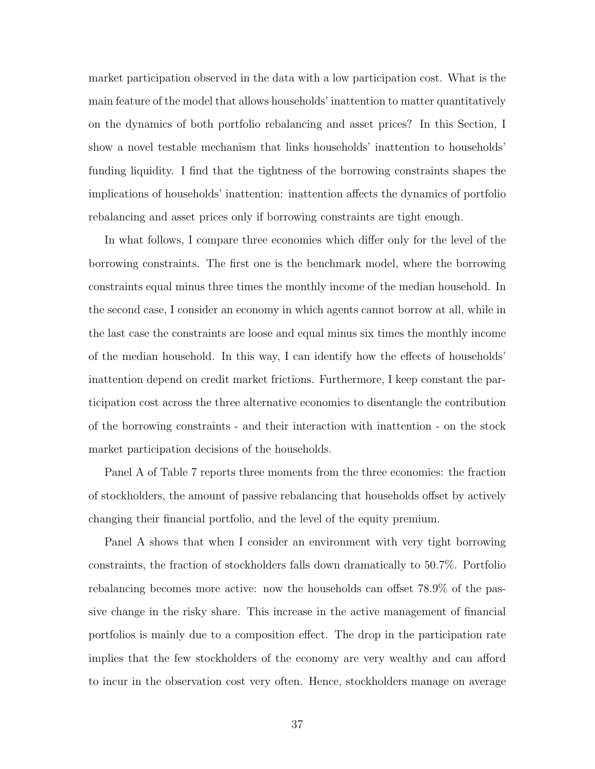market participation observed in the data with a low participation cost. What is the main feature of the model that allows households' inattention to matter quantitatively on the dynamics of both portfolio rebalancing and asset prices? In this Section, I show a novel testable mechanism that links households' inattention to households' funding liquidity. I find that the tightness of the borrowing constraints shapes the implications of households' inattention: inattention affects the dynamics of portfolio rebalancing and asset prices only if borrowing constraints are tight enough.

In what follows, I compare three economies which differ only for the level of the borrowing constraints. The first one is the benchmark model, where the borrowing constraints equal minus three times the monthly income of the median household. In the second case, I consider an economy in which agents cannot borrow at all, while in the last case the constraints are loose and equal minus six times the monthly income of the median household. In this way, I can identify how the effects of households' inattention depend on credit market frictions. Furthermore, I keep constant the participation cost across the three alternative economies to disentangle the contribution of the borrowing constraints - and their interaction with inattention - on the stock market participation decisions of the households.

Panel A of Table 7 reports three moments from the three economies: the fraction of stockholders, the amount of passive rebalancing that households offset by actively changing their financial portfolio, and the level of the equity premium.

Panel A shows that when I consider an environment with very tight borrowing constraints, the fraction of stockholders falls down dramatically to 50.7%. Portfolio rebalancing becomes more active: now the households can offset 78.9% of the passive change in the risky share. This increase in the active management of financial portfolios is mainly due to a composition effect. The drop in the participation rate implies that the few stockholders of the economy are very wealthy and can afford to incur in the observation cost very often. Hence, stockholders manage on average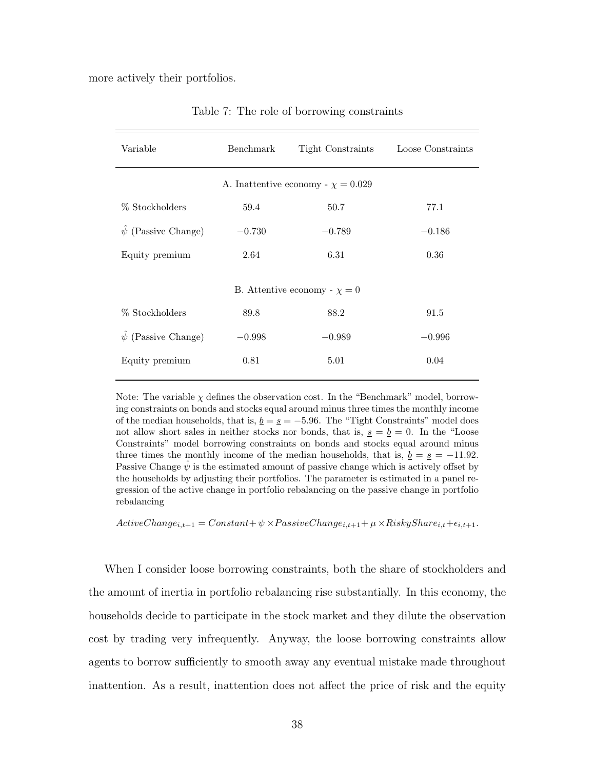more actively their portfolios.

| Variable                      | Benchmark | Tight Constraints                       | Loose Constraints |
|-------------------------------|-----------|-----------------------------------------|-------------------|
|                               |           | A. Inattentive economy - $\chi = 0.029$ |                   |
| % Stockholders                | 59.4      | 50.7                                    | 77.1              |
| $\hat{\psi}$ (Passive Change) | $-0.730$  | $-0.789$                                | $-0.186$          |
| Equity premium                | 2.64      | 6.31                                    | 0.36              |
|                               |           | B. Attentive economy - $\chi = 0$       |                   |
| % Stockholders                | 89.8      | 88.2                                    | 91.5              |
| $\hat{\psi}$ (Passive Change) | $-0.998$  | $-0.989$                                | $-0.996$          |
| Equity premium                | 0.81      | 5.01                                    | 0.04              |
|                               |           |                                         |                   |

Table 7: The role of borrowing constraints

Note: The variable  $\chi$  defines the observation cost. In the "Benchmark" model, borrowing constraints on bonds and stocks equal around minus three times the monthly income of the median households, that is,  $\underline{b} = \underline{s} = -5.96$ . The "Tight Constraints" model does not allow short sales in neither stocks nor bonds, that is,  $s = b = 0$ . In the "Loose" Constraints" model borrowing constraints on bonds and stocks equal around minus three times the monthly income of the median households, that is,  $b = s = -11.92$ . Passive Change  $\hat{\psi}$  is the estimated amount of passive change which is actively offset by the households by adjusting their portfolios. The parameter is estimated in a panel regression of the active change in portfolio rebalancing on the passive change in portfolio rebalancing

 $ActiveChange_{i,t+1} = Constant + \psi \times PassingChange_{i,t+1} + \mu \times RiskyShare_{i,t} + \epsilon_{i,t+1}.$ 

When I consider loose borrowing constraints, both the share of stockholders and the amount of inertia in portfolio rebalancing rise substantially. In this economy, the households decide to participate in the stock market and they dilute the observation cost by trading very infrequently. Anyway, the loose borrowing constraints allow agents to borrow sufficiently to smooth away any eventual mistake made throughout inattention. As a result, inattention does not affect the price of risk and the equity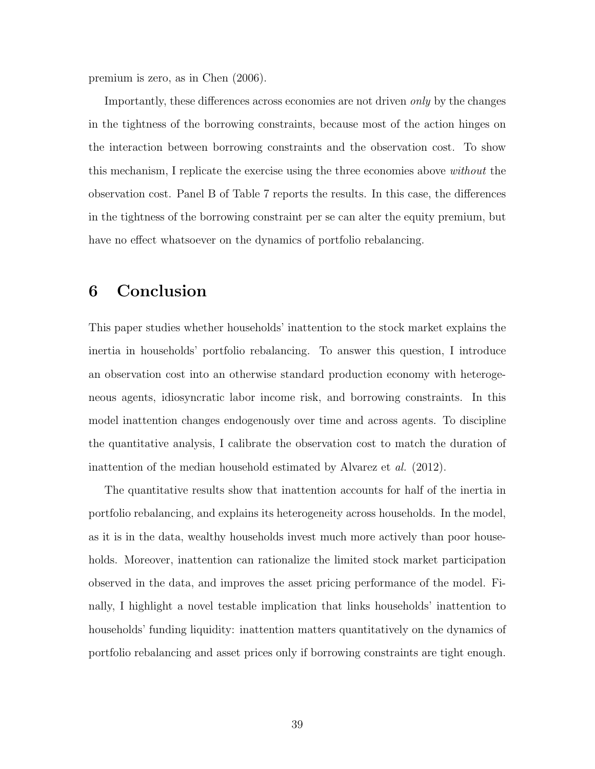premium is zero, as in Chen (2006).

Importantly, these differences across economies are not driven only by the changes in the tightness of the borrowing constraints, because most of the action hinges on the interaction between borrowing constraints and the observation cost. To show this mechanism, I replicate the exercise using the three economies above without the observation cost. Panel B of Table 7 reports the results. In this case, the differences in the tightness of the borrowing constraint per se can alter the equity premium, but have no effect whatsoever on the dynamics of portfolio rebalancing.

# 6 Conclusion

This paper studies whether households' inattention to the stock market explains the inertia in households' portfolio rebalancing. To answer this question, I introduce an observation cost into an otherwise standard production economy with heterogeneous agents, idiosyncratic labor income risk, and borrowing constraints. In this model inattention changes endogenously over time and across agents. To discipline the quantitative analysis, I calibrate the observation cost to match the duration of inattention of the median household estimated by Alvarez et al. (2012).

The quantitative results show that inattention accounts for half of the inertia in portfolio rebalancing, and explains its heterogeneity across households. In the model, as it is in the data, wealthy households invest much more actively than poor households. Moreover, inattention can rationalize the limited stock market participation observed in the data, and improves the asset pricing performance of the model. Finally, I highlight a novel testable implication that links households' inattention to households' funding liquidity: inattention matters quantitatively on the dynamics of portfolio rebalancing and asset prices only if borrowing constraints are tight enough.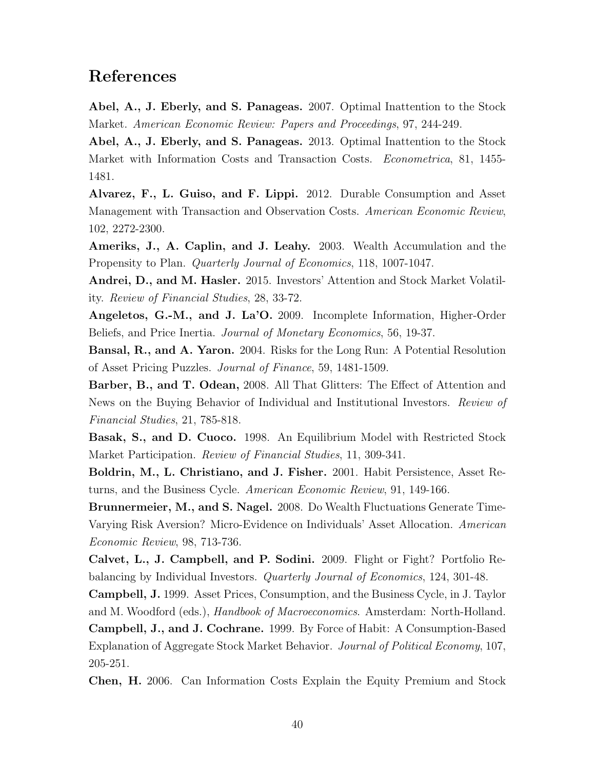# References

Abel, A., J. Eberly, and S. Panageas. 2007. Optimal Inattention to the Stock Market. American Economic Review: Papers and Proceedings, 97, 244-249.

Abel, A., J. Eberly, and S. Panageas. 2013. Optimal Inattention to the Stock Market with Information Costs and Transaction Costs. Econometrica, 81, 1455- 1481.

Alvarez, F., L. Guiso, and F. Lippi. 2012. Durable Consumption and Asset Management with Transaction and Observation Costs. American Economic Review, 102, 2272-2300.

Ameriks, J., A. Caplin, and J. Leahy. 2003. Wealth Accumulation and the Propensity to Plan. Quarterly Journal of Economics, 118, 1007-1047.

Andrei, D., and M. Hasler. 2015. Investors' Attention and Stock Market Volatility. Review of Financial Studies, 28, 33-72.

Angeletos, G.-M., and J. La'O. 2009. Incomplete Information, Higher-Order Beliefs, and Price Inertia. Journal of Monetary Economics, 56, 19-37.

Bansal, R., and A. Yaron. 2004. Risks for the Long Run: A Potential Resolution of Asset Pricing Puzzles. Journal of Finance, 59, 1481-1509.

Barber, B., and T. Odean, 2008. All That Glitters: The Effect of Attention and News on the Buying Behavior of Individual and Institutional Investors. Review of Financial Studies, 21, 785-818.

Basak, S., and D. Cuoco. 1998. An Equilibrium Model with Restricted Stock Market Participation. Review of Financial Studies, 11, 309-341.

Boldrin, M., L. Christiano, and J. Fisher. 2001. Habit Persistence, Asset Returns, and the Business Cycle. American Economic Review, 91, 149-166.

Brunnermeier, M., and S. Nagel. 2008. Do Wealth Fluctuations Generate Time-Varying Risk Aversion? Micro-Evidence on Individuals' Asset Allocation. American Economic Review, 98, 713-736.

Calvet, L., J. Campbell, and P. Sodini. 2009. Flight or Fight? Portfolio Rebalancing by Individual Investors. Quarterly Journal of Economics, 124, 301-48.

Campbell, J. 1999. Asset Prices, Consumption, and the Business Cycle, in J. Taylor and M. Woodford (eds.), Handbook of Macroeconomics. Amsterdam: North-Holland.

Campbell, J., and J. Cochrane. 1999. By Force of Habit: A Consumption-Based Explanation of Aggregate Stock Market Behavior. Journal of Political Economy, 107, 205-251.

Chen, H. 2006. Can Information Costs Explain the Equity Premium and Stock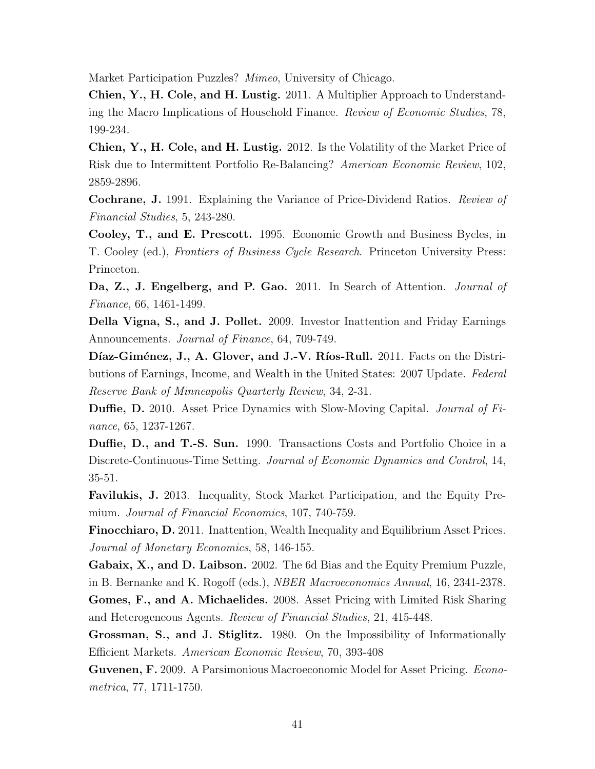Market Participation Puzzles? Mimeo, University of Chicago.

Chien, Y., H. Cole, and H. Lustig. 2011. A Multiplier Approach to Understanding the Macro Implications of Household Finance. Review of Economic Studies, 78, 199-234.

Chien, Y., H. Cole, and H. Lustig. 2012. Is the Volatility of the Market Price of Risk due to Intermittent Portfolio Re-Balancing? American Economic Review, 102, 2859-2896.

Cochrane, J. 1991. Explaining the Variance of Price-Dividend Ratios. Review of Financial Studies, 5, 243-280.

Cooley, T., and E. Prescott. 1995. Economic Growth and Business Bycles, in T. Cooley (ed.), Frontiers of Business Cycle Research. Princeton University Press: Princeton.

Da, Z., J. Engelberg, and P. Gao. 2011. In Search of Attention. *Journal of* Finance, 66, 1461-1499.

Della Vigna, S., and J. Pollet. 2009. Investor Inattention and Friday Earnings Announcements. Journal of Finance, 64, 709-749.

Díaz-Giménez, J., A. Glover, and J.-V. Ríos-Rull. 2011. Facts on the Distributions of Earnings, Income, and Wealth in the United States: 2007 Update. Federal Reserve Bank of Minneapolis Quarterly Review, 34, 2-31.

Duffie, D. 2010. Asset Price Dynamics with Slow-Moving Capital. Journal of Finance, 65, 1237-1267.

Duffie, D., and T.-S. Sun. 1990. Transactions Costs and Portfolio Choice in a Discrete-Continuous-Time Setting. Journal of Economic Dynamics and Control, 14, 35-51.

Favilukis, J. 2013. Inequality, Stock Market Participation, and the Equity Premium. Journal of Financial Economics, 107, 740-759.

Finocchiaro, D. 2011. Inattention, Wealth Inequality and Equilibrium Asset Prices. Journal of Monetary Economics, 58, 146-155.

Gabaix, X., and D. Laibson. 2002. The 6d Bias and the Equity Premium Puzzle, in B. Bernanke and K. Rogoff (eds.), NBER Macroeconomics Annual, 16, 2341-2378.

Gomes, F., and A. Michaelides. 2008. Asset Pricing with Limited Risk Sharing and Heterogeneous Agents. Review of Financial Studies, 21, 415-448.

Grossman, S., and J. Stiglitz. 1980. On the Impossibility of Informationally Efficient Markets. American Economic Review, 70, 393-408

Guvenen, F. 2009. A Parsimonious Macroeconomic Model for Asset Pricing. Econometrica, 77, 1711-1750.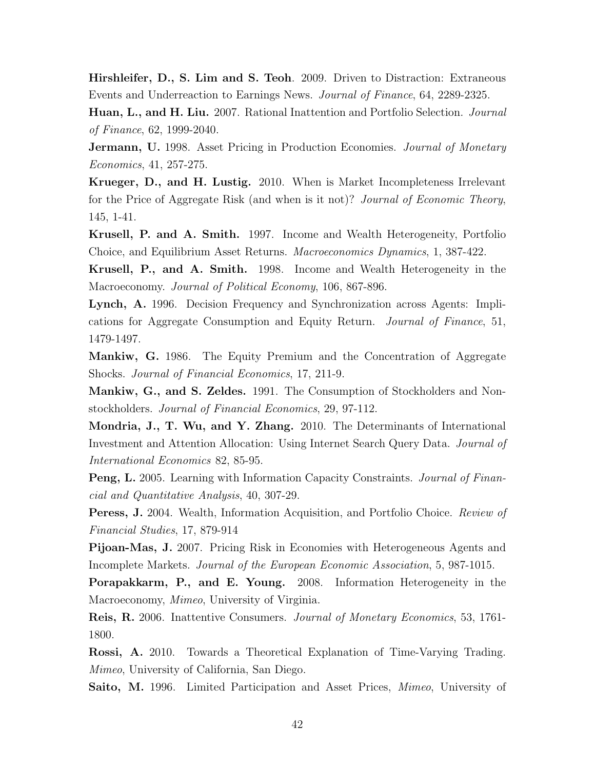Hirshleifer, D., S. Lim and S. Teoh. 2009. Driven to Distraction: Extraneous Events and Underreaction to Earnings News. Journal of Finance, 64, 2289-2325.

Huan, L., and H. Liu. 2007. Rational Inattention and Portfolio Selection. Journal of Finance, 62, 1999-2040.

**Jermann, U.** 1998. Asset Pricing in Production Economies. *Journal of Monetary* Economics, 41, 257-275.

Krueger, D., and H. Lustig. 2010. When is Market Incompleteness Irrelevant for the Price of Aggregate Risk (and when is it not)? Journal of Economic Theory, 145, 1-41.

Krusell, P. and A. Smith. 1997. Income and Wealth Heterogeneity, Portfolio Choice, and Equilibrium Asset Returns. Macroeconomics Dynamics, 1, 387-422.

Krusell, P., and A. Smith. 1998. Income and Wealth Heterogeneity in the Macroeconomy. Journal of Political Economy, 106, 867-896.

Lynch, A. 1996. Decision Frequency and Synchronization across Agents: Implications for Aggregate Consumption and Equity Return. Journal of Finance, 51, 1479-1497.

Mankiw, G. 1986. The Equity Premium and the Concentration of Aggregate Shocks. Journal of Financial Economics, 17, 211-9.

Mankiw, G., and S. Zeldes. 1991. The Consumption of Stockholders and Nonstockholders. Journal of Financial Economics, 29, 97-112.

Mondria, J., T. Wu, and Y. Zhang. 2010. The Determinants of International Investment and Attention Allocation: Using Internet Search Query Data. Journal of International Economics 82, 85-95.

Peng, L. 2005. Learning with Information Capacity Constraints. Journal of Financial and Quantitative Analysis, 40, 307-29.

Peress, J. 2004. Wealth, Information Acquisition, and Portfolio Choice. Review of Financial Studies, 17, 879-914

Pijoan-Mas, J. 2007. Pricing Risk in Economies with Heterogeneous Agents and Incomplete Markets. Journal of the European Economic Association, 5, 987-1015.

Porapakkarm, P., and E. Young. 2008. Information Heterogeneity in the Macroeconomy, *Mimeo*, University of Virginia.

Reis, R. 2006. Inattentive Consumers. Journal of Monetary Economics, 53, 1761- 1800.

Rossi, A. 2010. Towards a Theoretical Explanation of Time-Varying Trading. Mimeo, University of California, San Diego.

Saito, M. 1996. Limited Participation and Asset Prices, *Mimeo*, University of